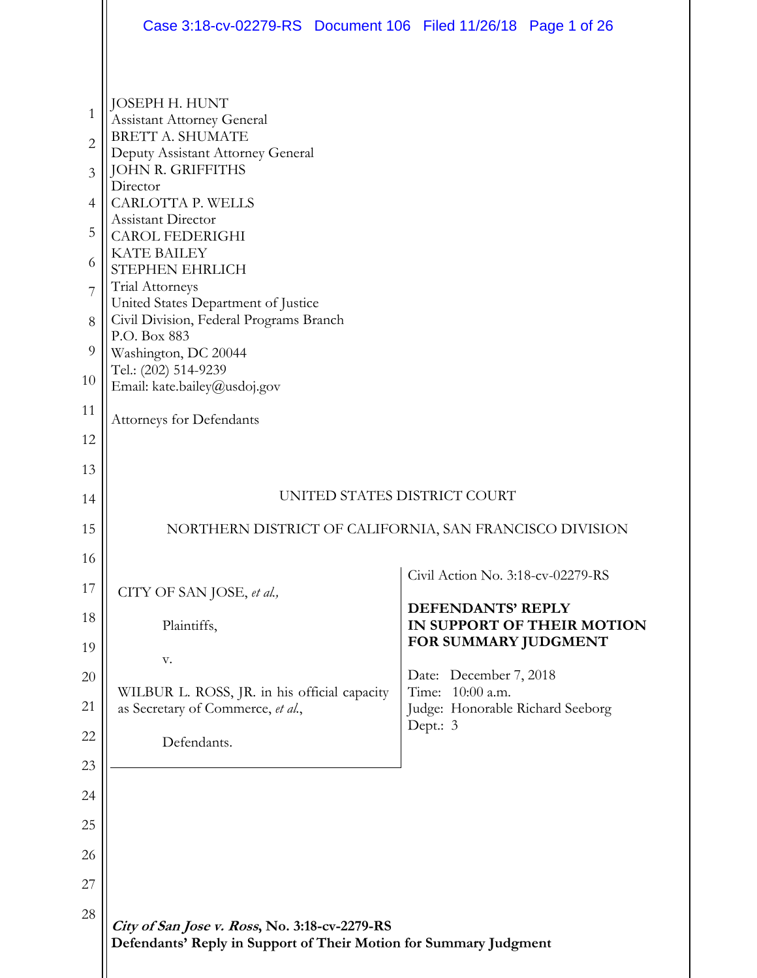|                | Case 3:18-cv-02279-RS Document 106 Filed 11/26/18 Page 1 of 26                                                     |                                                 |                            |
|----------------|--------------------------------------------------------------------------------------------------------------------|-------------------------------------------------|----------------------------|
|                | JOSEPH H. HUNT                                                                                                     |                                                 |                            |
| $\mathbf{1}$   | <b>Assistant Attorney General</b>                                                                                  |                                                 |                            |
| $\overline{c}$ | <b>BRETT A. SHUMATE</b><br>Deputy Assistant Attorney General                                                       |                                                 |                            |
| 3              | <b>JOHN R. GRIFFITHS</b><br>Director                                                                               |                                                 |                            |
| $\overline{4}$ | CARLOTTA P. WELLS<br>Assistant Director                                                                            |                                                 |                            |
| 5              | CAROL FEDERIGHI                                                                                                    |                                                 |                            |
| 6              | <b>KATE BAILEY</b><br>STEPHEN EHRLICH                                                                              |                                                 |                            |
| 7              | Trial Attorneys<br>United States Department of Justice                                                             |                                                 |                            |
| 8              | Civil Division, Federal Programs Branch<br>P.O. Box 883                                                            |                                                 |                            |
| 9              | Washington, DC 20044                                                                                               |                                                 |                            |
| 10             | Tel.: (202) 514-9239<br>Email: kate.bailey@usdoj.gov                                                               |                                                 |                            |
| 11             | Attorneys for Defendants                                                                                           |                                                 |                            |
| 12             |                                                                                                                    |                                                 |                            |
| 13             |                                                                                                                    |                                                 |                            |
| 14             |                                                                                                                    | UNITED STATES DISTRICT COURT                    |                            |
| 15             | NORTHERN DISTRICT OF CALIFORNIA, SAN FRANCISCO DIVISION                                                            |                                                 |                            |
| 16             |                                                                                                                    | Civil Action No. 3:18-cv-02279-RS               |                            |
| 17             | CITY OF SAN JOSE, et al.,                                                                                          | DEFENDANTS' REPLY                               |                            |
| 18             | Plaintiffs,                                                                                                        |                                                 | IN SUPPORT OF THEIR MOTION |
| 19             | V.                                                                                                                 | FOR SUMMARY JUDGMENT                            |                            |
| 20             | WILBUR L. ROSS, JR. in his official capacity                                                                       | Date: December 7, 2018<br>Time:<br>$10:00$ a.m. |                            |
| 21             | as Secretary of Commerce, et al.,                                                                                  | Judge: Honorable Richard Seeborg<br>Dept.: 3    |                            |
| 22             | Defendants.                                                                                                        |                                                 |                            |
| 23             |                                                                                                                    |                                                 |                            |
| 24             |                                                                                                                    |                                                 |                            |
| 25             |                                                                                                                    |                                                 |                            |
| 26             |                                                                                                                    |                                                 |                            |
| 27             |                                                                                                                    |                                                 |                            |
| 28             | City of San Jose v. Ross, No. 3:18-cv-2279-RS<br>Defendants' Reply in Support of Their Motion for Summary Judgment |                                                 |                            |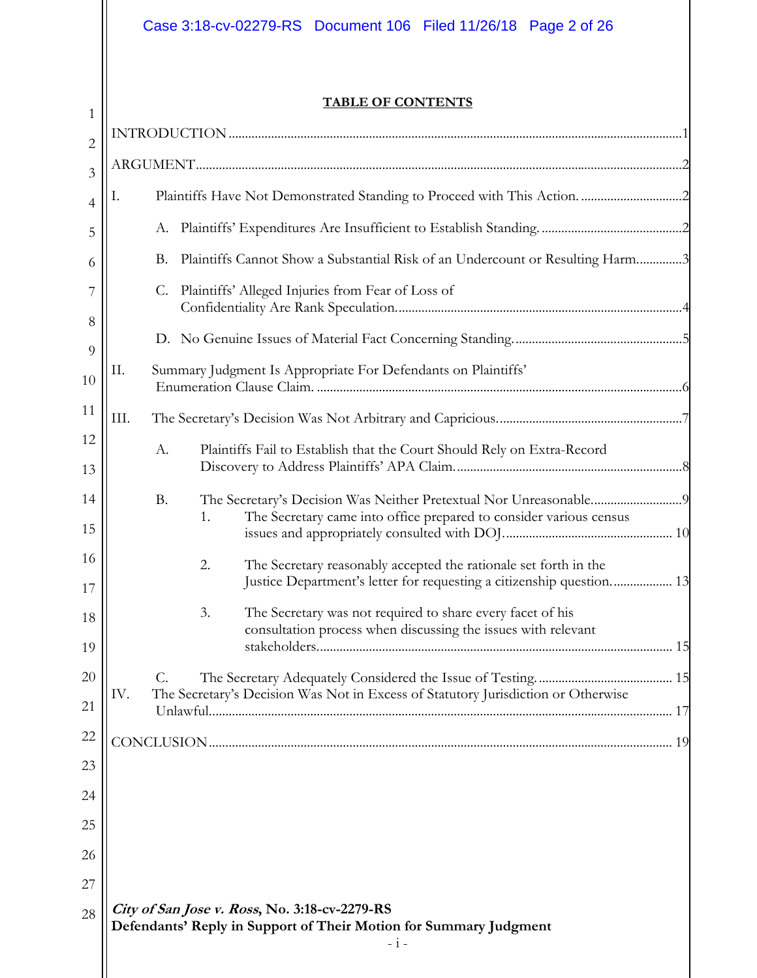# Case 3:18-cv-02279-RS Document 106 Filed 11/26/18 Page 2 of 26

 $1$ 

### **TABLE OF CONTENTS**

| $\overline{2}$ |                                                                                                                                   |  |
|----------------|-----------------------------------------------------------------------------------------------------------------------------------|--|
| $\overline{3}$ |                                                                                                                                   |  |
| $\overline{4}$ | Ι.                                                                                                                                |  |
| 5              |                                                                                                                                   |  |
| 6              | Plaintiffs Cannot Show a Substantial Risk of an Undercount or Resulting Harm3<br>В.                                               |  |
| 7              | Plaintiffs' Alleged Injuries from Fear of Loss of<br>C.                                                                           |  |
| 8              |                                                                                                                                   |  |
| 9              |                                                                                                                                   |  |
| 10             | Summary Judgment Is Appropriate For Defendants on Plaintiffs'<br>П.                                                               |  |
| 11             | III.                                                                                                                              |  |
| 12             | Plaintiffs Fail to Establish that the Court Should Rely on Extra-Record<br>A.                                                     |  |
| 13             |                                                                                                                                   |  |
| 14             | <b>B.</b>                                                                                                                         |  |
| 15             | The Secretary came into office prepared to consider various census<br>1.                                                          |  |
| 16             | 2.<br>The Secretary reasonably accepted the rationale set forth in the                                                            |  |
| 17             | Justice Department's letter for requesting a citizenship question 13                                                              |  |
| 18             | The Secretary was not required to share every facet of his<br>3.<br>consultation process when discussing the issues with relevant |  |
| 19             |                                                                                                                                   |  |
| $20\,$         | The Secretary's Decision Was Not in Excess of Statutory Jurisdiction or Otherwise<br>IV.                                          |  |
| 21             |                                                                                                                                   |  |
| 22             |                                                                                                                                   |  |
| 23             |                                                                                                                                   |  |
| 24             |                                                                                                                                   |  |
| 25             |                                                                                                                                   |  |
| 26             |                                                                                                                                   |  |
| 27             |                                                                                                                                   |  |
| 28             | City of San Jose v. Ross, No. 3:18-cv-2279-RS<br>Defendants' Reply in Support of Their Motion for Summary Judgment                |  |
|                | $- i -$                                                                                                                           |  |
|                |                                                                                                                                   |  |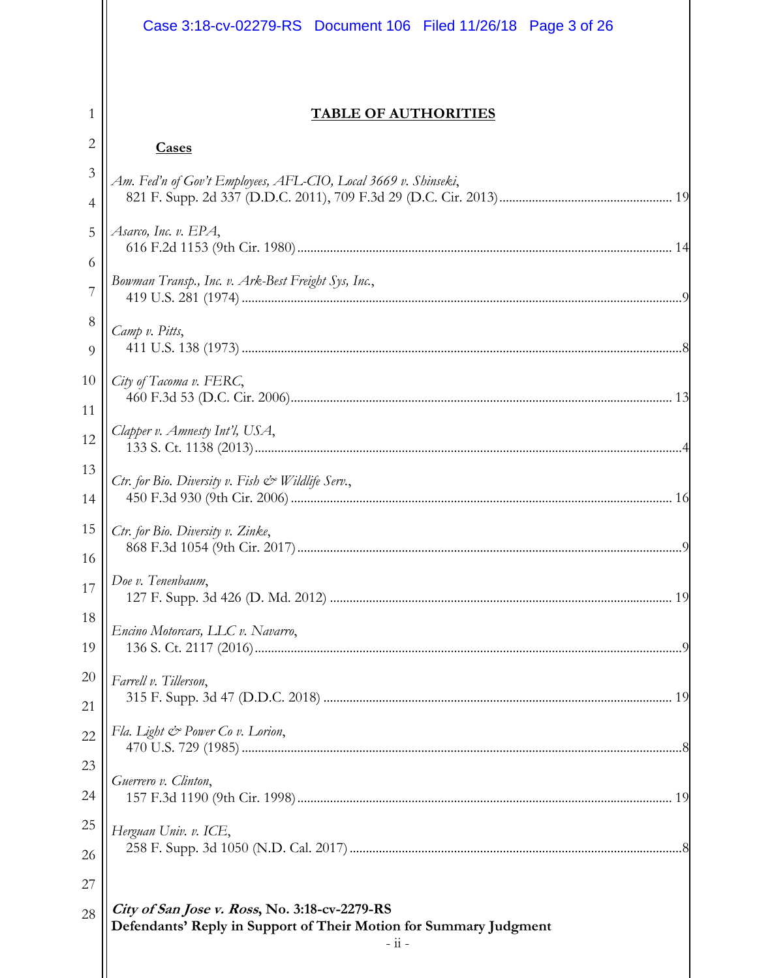|                | Case 3:18-cv-02279-RS  Document 106  Filed 11/26/18  Page 3 of 26                                                  |
|----------------|--------------------------------------------------------------------------------------------------------------------|
|                |                                                                                                                    |
| 1              | <b>TABLE OF AUTHORITIES</b>                                                                                        |
| $\overline{2}$ | <b>Cases</b>                                                                                                       |
| 3              | Am. Fed'n of Gov't Employees, AFL-CIO, Local 3669 v. Shinseki,                                                     |
| 4              |                                                                                                                    |
| 5              | Asarco, Inc. v. EPA,                                                                                               |
| 6<br>7         | Bowman Transp., Inc. v. Ark-Best Freight Sys, Inc.,                                                                |
| 8              | Camp v. Pitts,                                                                                                     |
| $\Omega$       |                                                                                                                    |
| 10             | City of Tacoma v. FERC,                                                                                            |
| 11             | Clapper v. Amnesty Int'l, USA,                                                                                     |
| 12             |                                                                                                                    |
| 13             | Ctr. for Bio. Diversity v. Fish $\mathcal{Q}$ Wildlife Serv.,                                                      |
| 14             |                                                                                                                    |
| 15<br>16       | Ctr. for Bio. Diversity v. Zinke,                                                                                  |
| 17             | Doe v. Tenenbaum,                                                                                                  |
| 18             |                                                                                                                    |
| 19             | Encino Motorcars, LLC v. Navarro,                                                                                  |
| 20             | Farrell v. Tillerson,                                                                                              |
| 21             |                                                                                                                    |
| 22             | Fla. Light & Power Co v. Lorion,                                                                                   |
| 23             | Guerrero v. Clinton,                                                                                               |
| 24             |                                                                                                                    |
| 25             | Herguan Univ. v. ICE,                                                                                              |
| 26             |                                                                                                                    |
| 27             |                                                                                                                    |
| 28             | City of San Jose v. Ross, No. 3:18-cv-2279-RS<br>Defendants' Reply in Support of Their Motion for Summary Judgment |
|                | $-$ ii $-$                                                                                                         |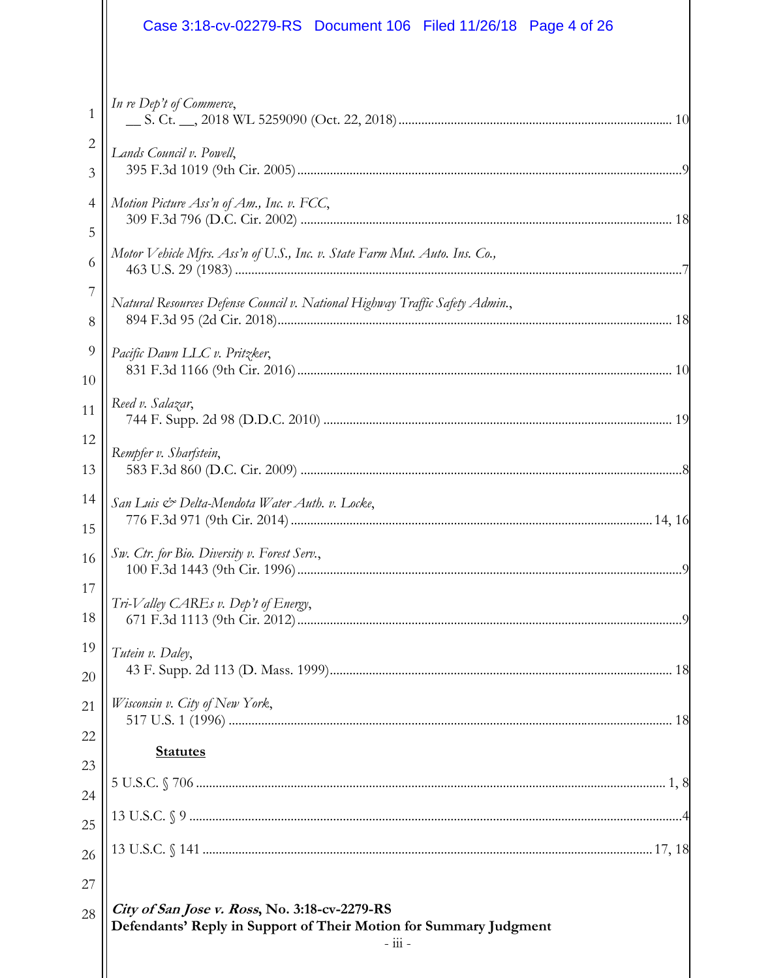|                     | Case 3:18-cv-02279-RS  Document 106  Filed 11/26/18  Page 4 of 26                                                                          |  |
|---------------------|--------------------------------------------------------------------------------------------------------------------------------------------|--|
| $\mathbf{1}$        | In re Dep't of Commerce,                                                                                                                   |  |
| $\overline{c}$<br>3 | Lands Council v. Powell,                                                                                                                   |  |
| $\overline{4}$      | Motion Picture Ass'n of Am., Inc. v. FCC,                                                                                                  |  |
| 5<br>6              | Motor Vehicle Mfrs. Ass'n of U.S., Inc. v. State Farm Mut. Auto. Ins. Co.,                                                                 |  |
| 7<br>8              | Natural Resources Defense Council v. National Highway Traffic Safety Admin.,                                                               |  |
| 9<br>10             | Pacific Dawn LLC v. Pritzker,                                                                                                              |  |
| 11                  | Reed v. Salazar,                                                                                                                           |  |
| 12<br>13            | Rempfer v. Sharfstein,                                                                                                                     |  |
| 14<br>15            | San Luis & Delta-Mendota Water Auth. v. Locke,                                                                                             |  |
| 16 <sup>1</sup>     | Sw. Ctr. for Bio. Diversity v. Forest Serv.,                                                                                               |  |
| 17<br>18            | Tri-Valley CAREs v. Dep't of Energy,                                                                                                       |  |
| 19<br>20            | Tutein v. Daley,                                                                                                                           |  |
| 21                  | Wisconsin v. City of New York,                                                                                                             |  |
| 22                  | <b>Statutes</b>                                                                                                                            |  |
| 23<br>24            |                                                                                                                                            |  |
| 25                  |                                                                                                                                            |  |
| 26                  |                                                                                                                                            |  |
| 27                  |                                                                                                                                            |  |
| 28                  | City of San Jose v. Ross, No. 3:18-cv-2279-RS<br>Defendants' Reply in Support of Their Motion for Summary Judgment<br>$ \frac{111}{111}$ - |  |
|                     |                                                                                                                                            |  |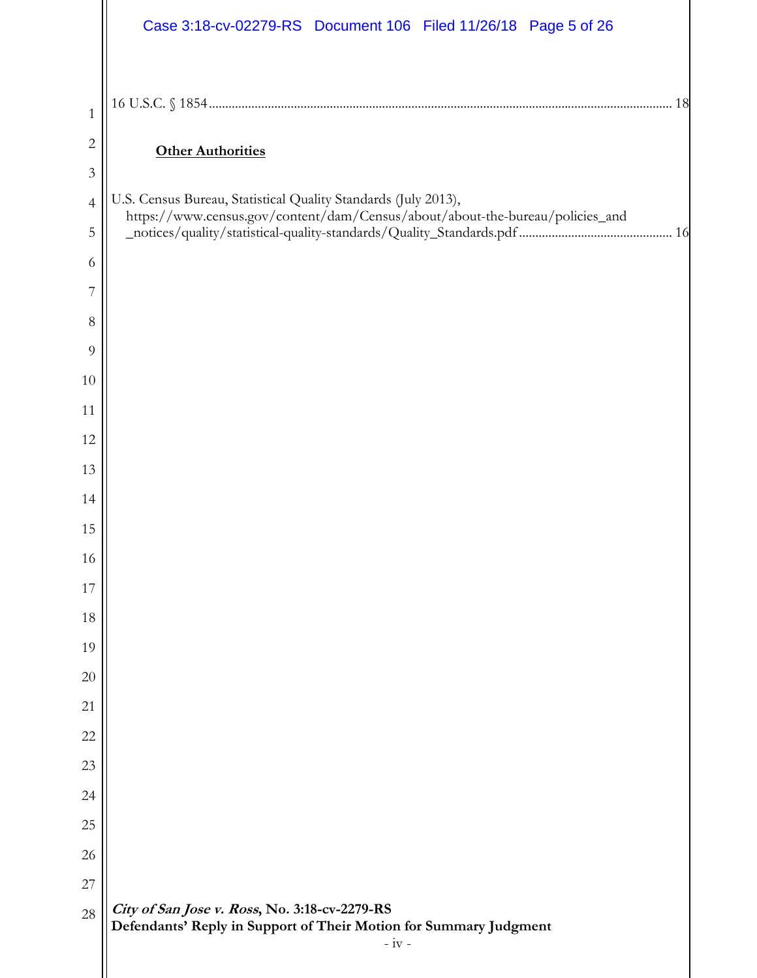|                | Case 3:18-cv-02279-RS Document 106 Filed 11/26/18 Page 5 of 26                                                                |
|----------------|-------------------------------------------------------------------------------------------------------------------------------|
|                |                                                                                                                               |
| 1              |                                                                                                                               |
| $\overline{c}$ | <b>Other Authorities</b>                                                                                                      |
| $\mathfrak{Z}$ | U.S. Census Bureau, Statistical Quality Standards (July 2013),                                                                |
| $\overline{4}$ | https://www.census.gov/content/dam/Census/about/about-the-bureau/policies_and                                                 |
| 5<br>6         |                                                                                                                               |
| 7              |                                                                                                                               |
| $8\,$          |                                                                                                                               |
| 9              |                                                                                                                               |
| 10             |                                                                                                                               |
| 11             |                                                                                                                               |
| 12             |                                                                                                                               |
| 13             |                                                                                                                               |
| 14             |                                                                                                                               |
| 15             |                                                                                                                               |
| 16             |                                                                                                                               |
| 17             |                                                                                                                               |
| 18             |                                                                                                                               |
| 19             |                                                                                                                               |
| 20             |                                                                                                                               |
| 21             |                                                                                                                               |
| 22             |                                                                                                                               |
| 23             |                                                                                                                               |
| 24             |                                                                                                                               |
| 25             |                                                                                                                               |
| 26             |                                                                                                                               |
| 27             |                                                                                                                               |
| 28             | City of San Jose v. Ross, No. 3:18-cv-2279-RS<br>Defendants' Reply in Support of Their Motion for Summary Judgment<br>$-iv -$ |
|                |                                                                                                                               |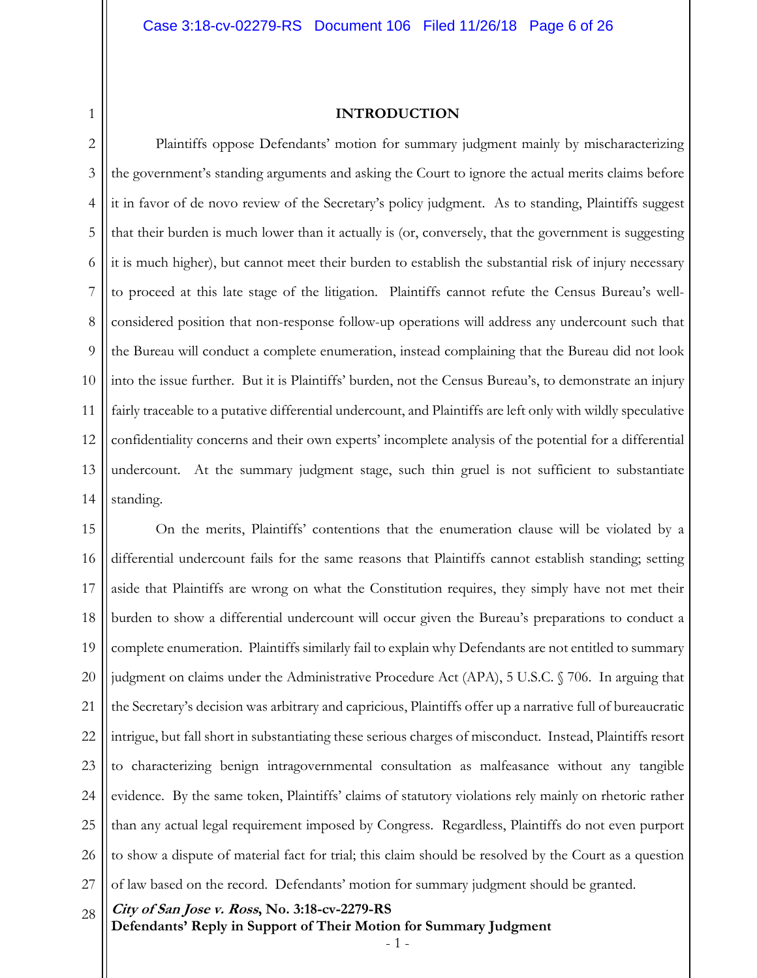#### **INTRODUCTION**

2 3 4 5 6 7 8 9 10 11 12 13 14 Plaintiffs oppose Defendants' motion for summary judgment mainly by mischaracterizing the government's standing arguments and asking the Court to ignore the actual merits claims before it in favor of de novo review of the Secretary's policy judgment. As to standing, Plaintiffs suggest that their burden is much lower than it actually is (or, conversely, that the government is suggesting it is much higher), but cannot meet their burden to establish the substantial risk of injury necessary to proceed at this late stage of the litigation. Plaintiffs cannot refute the Census Bureau's wellconsidered position that non-response follow-up operations will address any undercount such that the Bureau will conduct a complete enumeration, instead complaining that the Bureau did not look into the issue further. But it is Plaintiffs' burden, not the Census Bureau's, to demonstrate an injury fairly traceable to a putative differential undercount, and Plaintiffs are left only with wildly speculative confidentiality concerns and their own experts' incomplete analysis of the potential for a differential undercount. At the summary judgment stage, such thin gruel is not sufficient to substantiate standing.

15 16 17 18 19 20 21 22 23 24 25 26 27 On the merits, Plaintiffs' contentions that the enumeration clause will be violated by a differential undercount fails for the same reasons that Plaintiffs cannot establish standing; setting aside that Plaintiffs are wrong on what the Constitution requires, they simply have not met their burden to show a differential undercount will occur given the Bureau's preparations to conduct a complete enumeration. Plaintiffs similarly fail to explain why Defendants are not entitled to summary judgment on claims under the Administrative Procedure Act (APA), 5 U.S.C. § 706. In arguing that the Secretary's decision was arbitrary and capricious, Plaintiffs offer up a narrative full of bureaucratic intrigue, but fall short in substantiating these serious charges of misconduct. Instead, Plaintiffs resort to characterizing benign intragovernmental consultation as malfeasance without any tangible evidence. By the same token, Plaintiffs' claims of statutory violations rely mainly on rhetoric rather than any actual legal requirement imposed by Congress. Regardless, Plaintiffs do not even purport to show a dispute of material fact for trial; this claim should be resolved by the Court as a question of law based on the record. Defendants' motion for summary judgment should be granted.

**City of San Jose v. Ross, No. 3:18-cv-2279-RS**  28

1

**Defendants' Reply in Support of Their Motion for Summary Judgment**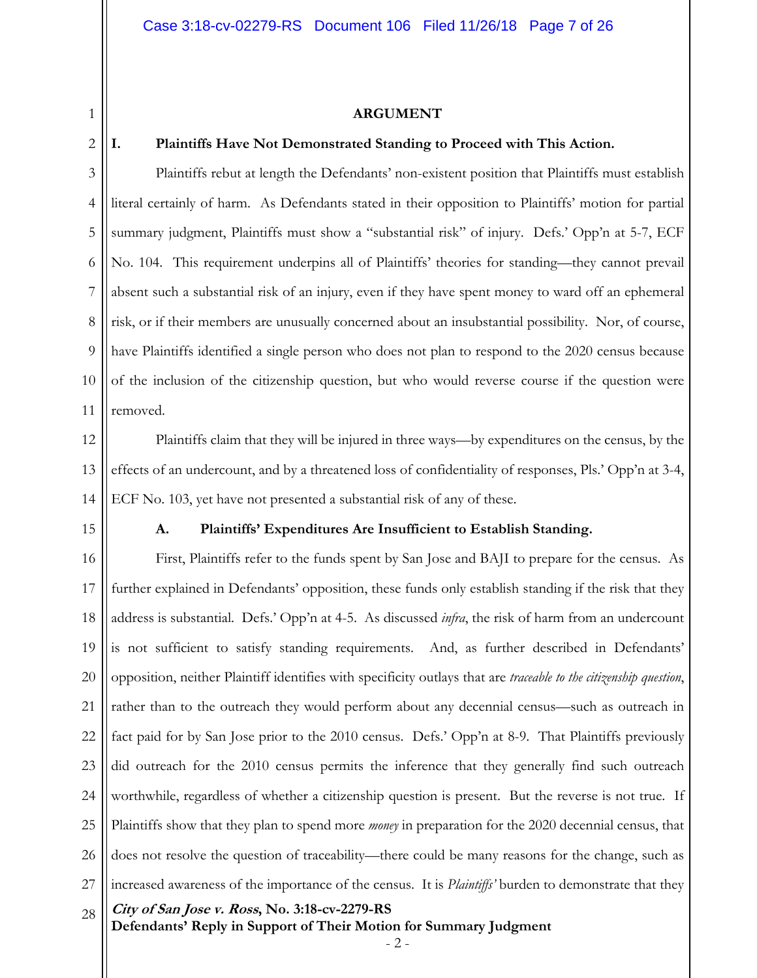#### **ARGUMENT**

### 2

1

#### **I. Plaintiffs Have Not Demonstrated Standing to Proceed with This Action.**

3 4 5 6 7 8 9 10 11 Plaintiffs rebut at length the Defendants' non-existent position that Plaintiffs must establish literal certainly of harm. As Defendants stated in their opposition to Plaintiffs' motion for partial summary judgment, Plaintiffs must show a "substantial risk" of injury. Defs.' Opp'n at 5-7, ECF No. 104. This requirement underpins all of Plaintiffs' theories for standing—they cannot prevail absent such a substantial risk of an injury, even if they have spent money to ward off an ephemeral risk, or if their members are unusually concerned about an insubstantial possibility. Nor, of course, have Plaintiffs identified a single person who does not plan to respond to the 2020 census because of the inclusion of the citizenship question, but who would reverse course if the question were removed.

12 13 14 Plaintiffs claim that they will be injured in three ways—by expenditures on the census, by the effects of an undercount, and by a threatened loss of confidentiality of responses, Pls.' Opp'n at 3-4, ECF No. 103, yet have not presented a substantial risk of any of these.

15

#### **A. Plaintiffs' Expenditures Are Insufficient to Establish Standing.**

**City of San Jose v. Ross, No. 3:18-cv-2279-RS**  16 17 18 19 20 21 22 23 24 25 26 27 28 First, Plaintiffs refer to the funds spent by San Jose and BAJI to prepare for the census. As further explained in Defendants' opposition, these funds only establish standing if the risk that they address is substantial. Defs.' Opp'n at 4-5. As discussed *infra*, the risk of harm from an undercount is not sufficient to satisfy standing requirements. And, as further described in Defendants' opposition, neither Plaintiff identifies with specificity outlays that are *traceable to the citizenship question*, rather than to the outreach they would perform about any decennial census—such as outreach in fact paid for by San Jose prior to the 2010 census. Defs.' Opp'n at 8-9. That Plaintiffs previously did outreach for the 2010 census permits the inference that they generally find such outreach worthwhile, regardless of whether a citizenship question is present. But the reverse is not true. If Plaintiffs show that they plan to spend more *money* in preparation for the 2020 decennial census, that does not resolve the question of traceability—there could be many reasons for the change, such as increased awareness of the importance of the census. It is *Plaintiffs'* burden to demonstrate that they

**Defendants' Reply in Support of Their Motion for Summary Judgment** 

- 2 -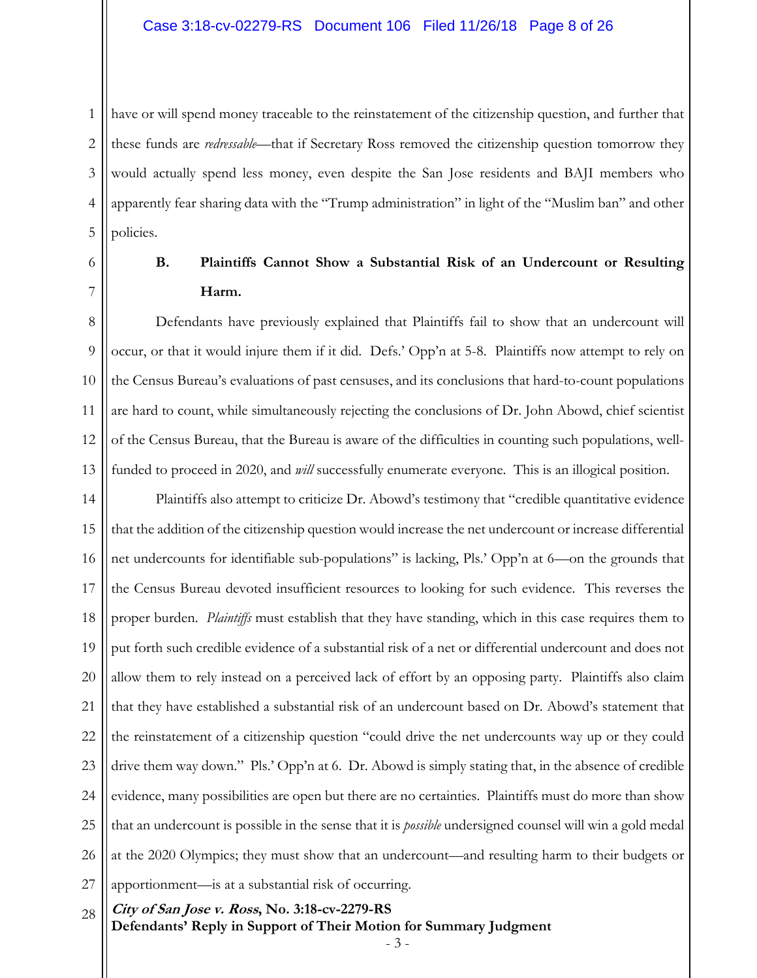#### Case 3:18-cv-02279-RS Document 106 Filed 11/26/18 Page 8 of 26

1 2 3 4 5 have or will spend money traceable to the reinstatement of the citizenship question, and further that these funds are *redressable*—that if Secretary Ross removed the citizenship question tomorrow they would actually spend less money, even despite the San Jose residents and BAJI members who apparently fear sharing data with the "Trump administration" in light of the "Muslim ban" and other policies.

6

7

## **B. Plaintiffs Cannot Show a Substantial Risk of an Undercount or Resulting Harm.**

8 9 10 11 12 13 Defendants have previously explained that Plaintiffs fail to show that an undercount will occur, or that it would injure them if it did. Defs.' Opp'n at 5-8. Plaintiffs now attempt to rely on the Census Bureau's evaluations of past censuses, and its conclusions that hard-to-count populations are hard to count, while simultaneously rejecting the conclusions of Dr. John Abowd, chief scientist of the Census Bureau, that the Bureau is aware of the difficulties in counting such populations, wellfunded to proceed in 2020, and *will* successfully enumerate everyone. This is an illogical position.

14 15 16 17 18 19 20 21 22 23 24 25 26 27 Plaintiffs also attempt to criticize Dr. Abowd's testimony that "credible quantitative evidence that the addition of the citizenship question would increase the net undercount or increase differential net undercounts for identifiable sub-populations" is lacking, Pls.' Opp'n at 6—on the grounds that the Census Bureau devoted insufficient resources to looking for such evidence. This reverses the proper burden. *Plaintiffs* must establish that they have standing, which in this case requires them to put forth such credible evidence of a substantial risk of a net or differential undercount and does not allow them to rely instead on a perceived lack of effort by an opposing party. Plaintiffs also claim that they have established a substantial risk of an undercount based on Dr. Abowd's statement that the reinstatement of a citizenship question "could drive the net undercounts way up or they could drive them way down." Pls.' Opp'n at 6. Dr. Abowd is simply stating that, in the absence of credible evidence, many possibilities are open but there are no certainties. Plaintiffs must do more than show that an undercount is possible in the sense that it is *possible* undersigned counsel will win a gold medal at the 2020 Olympics; they must show that an undercount—and resulting harm to their budgets or apportionment—is at a substantial risk of occurring.

**City of San Jose v. Ross, No. 3:18-cv-2279-RS**  28

**Defendants' Reply in Support of Their Motion for Summary Judgment**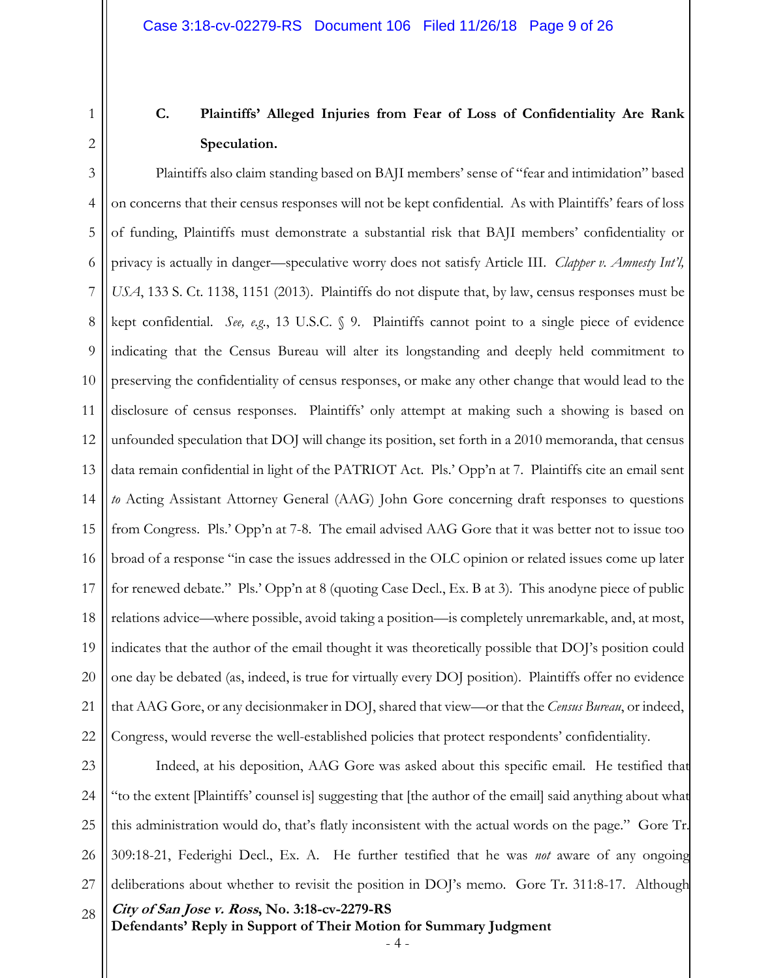2

1

# **C. Plaintiffs' Alleged Injuries from Fear of Loss of Confidentiality Are Rank Speculation.**

3 4 5 6 7 8 9 10 11 12 13 14 15 16 17 18 19 20 21 22 Plaintiffs also claim standing based on BAJI members' sense of "fear and intimidation" based on concerns that their census responses will not be kept confidential. As with Plaintiffs' fears of loss of funding, Plaintiffs must demonstrate a substantial risk that BAJI members' confidentiality or privacy is actually in danger—speculative worry does not satisfy Article III. *Clapper v. Amnesty Int'l, USA*, 133 S. Ct. 1138, 1151 (2013). Plaintiffs do not dispute that, by law, census responses must be kept confidential. *See, e.g.*, 13 U.S.C. § 9. Plaintiffs cannot point to a single piece of evidence indicating that the Census Bureau will alter its longstanding and deeply held commitment to preserving the confidentiality of census responses, or make any other change that would lead to the disclosure of census responses. Plaintiffs' only attempt at making such a showing is based on unfounded speculation that DOJ will change its position, set forth in a 2010 memoranda, that census data remain confidential in light of the PATRIOT Act. Pls.' Opp'n at 7. Plaintiffs cite an email sent *to* Acting Assistant Attorney General (AAG) John Gore concerning draft responses to questions from Congress. Pls.' Opp'n at 7-8. The email advised AAG Gore that it was better not to issue too broad of a response "in case the issues addressed in the OLC opinion or related issues come up later for renewed debate." Pls.' Opp'n at 8 (quoting Case Decl., Ex. B at 3). This anodyne piece of public relations advice—where possible, avoid taking a position—is completely unremarkable, and, at most, indicates that the author of the email thought it was theoretically possible that DOJ's position could one day be debated (as, indeed, is true for virtually every DOJ position). Plaintiffs offer no evidence that AAG Gore, or any decisionmaker in DOJ, shared that view—or that the *Census Bureau*, or indeed, Congress, would reverse the well-established policies that protect respondents' confidentiality.

**City of San Jose v. Ross, No. 3:18-cv-2279-RS Defendants' Reply in Support of Their Motion for Summary Judgment**  23 24 25 26 27 28 Indeed, at his deposition, AAG Gore was asked about this specific email. He testified that "to the extent [Plaintiffs' counsel is] suggesting that [the author of the email] said anything about what this administration would do, that's flatly inconsistent with the actual words on the page." Gore Tr. 309:18-21, Federighi Decl., Ex. A. He further testified that he was *not* aware of any ongoing deliberations about whether to revisit the position in DOJ's memo. Gore Tr. 311:8-17. Although

- 4 -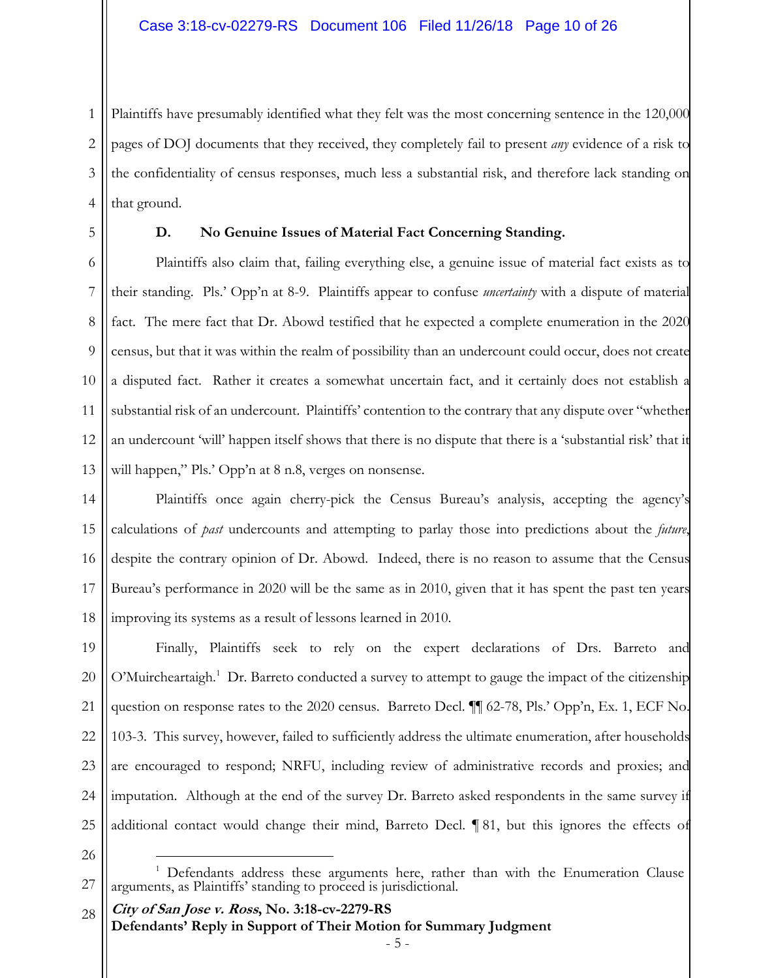1 2 3 4 Plaintiffs have presumably identified what they felt was the most concerning sentence in the 120,000 pages of DOJ documents that they received, they completely fail to present *any* evidence of a risk to the confidentiality of census responses, much less a substantial risk, and therefore lack standing on that ground.

5

#### **D. No Genuine Issues of Material Fact Concerning Standing.**

6 7 8 9 10 11 12 13 Plaintiffs also claim that, failing everything else, a genuine issue of material fact exists as to their standing. Pls.' Opp'n at 8-9. Plaintiffs appear to confuse *uncertainty* with a dispute of material fact. The mere fact that Dr. Abowd testified that he expected a complete enumeration in the 2020 census, but that it was within the realm of possibility than an undercount could occur, does not create a disputed fact. Rather it creates a somewhat uncertain fact, and it certainly does not establish a substantial risk of an undercount. Plaintiffs' contention to the contrary that any dispute over "whether an undercount 'will' happen itself shows that there is no dispute that there is a 'substantial risk' that it will happen," Pls.' Opp'n at 8 n.8, verges on nonsense.

14 15 16 17 18 Plaintiffs once again cherry-pick the Census Bureau's analysis, accepting the agency's calculations of *past* undercounts and attempting to parlay those into predictions about the *future*, despite the contrary opinion of Dr. Abowd. Indeed, there is no reason to assume that the Census Bureau's performance in 2020 will be the same as in 2010, given that it has spent the past ten years improving its systems as a result of lessons learned in 2010.

19 20 21 22 23 24 25 Finally, Plaintiffs seek to rely on the expert declarations of Drs. Barreto and O'Muircheartaigh.<sup>1</sup> Dr. Barreto conducted a survey to attempt to gauge the impact of the citizenship question on response rates to the 2020 census. Barreto Decl. ¶¶ 62-78, Pls.' Opp'n, Ex. 1, ECF No. 103-3. This survey, however, failed to sufficiently address the ultimate enumeration, after households are encouraged to respond; NRFU, including review of administrative records and proxies; and imputation. Although at the end of the survey Dr. Barreto asked respondents in the same survey if additional contact would change their mind, Barreto Decl. ¶ 81, but this ignores the effects of

26

**City of San Jose v. Ross, No. 3:18-cv-2279-RS**  28

<u>.</u>

**Defendants' Reply in Support of Their Motion for Summary Judgment** 

<sup>27</sup> <sup>1</sup> Defendants address these arguments here, rather than with the Enumeration Clause arguments, as Plaintiffs' standing to proceed is jurisdictional.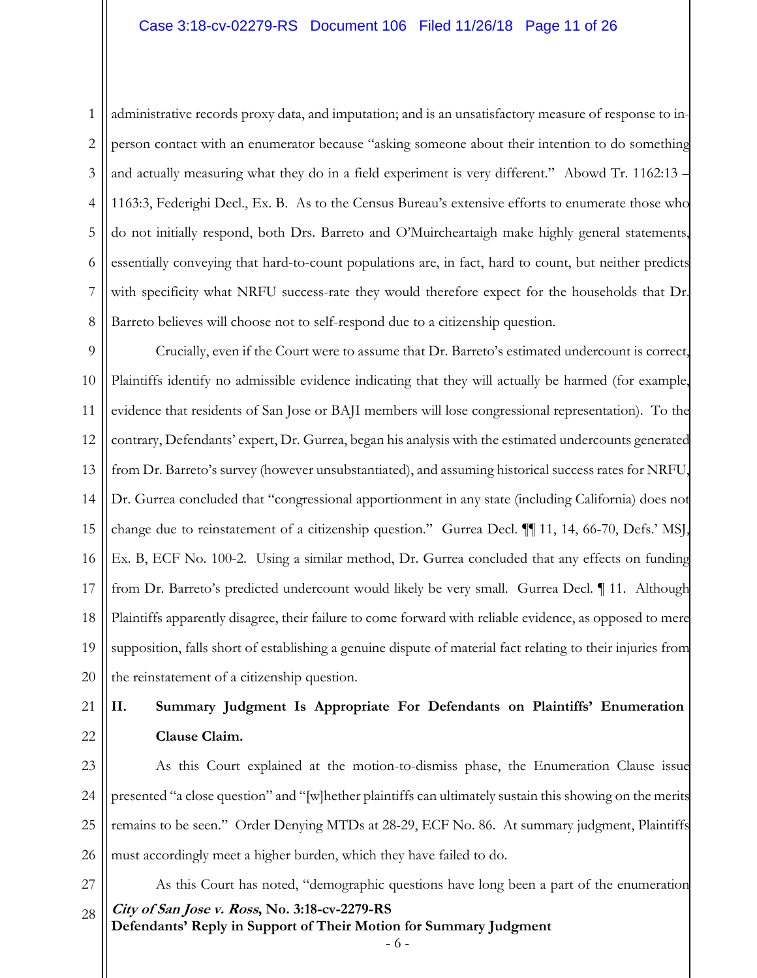#### Case 3:18-cv-02279-RS Document 106 Filed 11/26/18 Page 11 of 26

2 3 4

1 5 6 7 8 administrative records proxy data, and imputation; and is an unsatisfactory measure of response to inperson contact with an enumerator because "asking someone about their intention to do something and actually measuring what they do in a field experiment is very different." Abowd Tr. 1162:13 – 1163:3, Federighi Decl., Ex. B. As to the Census Bureau's extensive efforts to enumerate those who do not initially respond, both Drs. Barreto and O'Muircheartaigh make highly general statements, essentially conveying that hard-to-count populations are, in fact, hard to count, but neither predicts with specificity what NRFU success-rate they would therefore expect for the households that Dr. Barreto believes will choose not to self-respond due to a citizenship question.

9 10 11 12 13 14 15 16 17 18 19 20 Crucially, even if the Court were to assume that Dr. Barreto's estimated undercount is correct, Plaintiffs identify no admissible evidence indicating that they will actually be harmed (for example, evidence that residents of San Jose or BAJI members will lose congressional representation). To the contrary, Defendants' expert, Dr. Gurrea, began his analysis with the estimated undercounts generated from Dr. Barreto's survey (however unsubstantiated), and assuming historical success rates for NRFU, Dr. Gurrea concluded that "congressional apportionment in any state (including California) does not change due to reinstatement of a citizenship question." Gurrea Decl. ¶¶ 11, 14, 66-70, Defs.' MSJ, Ex. B, ECF No. 100-2. Using a similar method, Dr. Gurrea concluded that any effects on funding from Dr. Barreto's predicted undercount would likely be very small. Gurrea Decl. ¶ 11. Although Plaintiffs apparently disagree, their failure to come forward with reliable evidence, as opposed to mere supposition, falls short of establishing a genuine dispute of material fact relating to their injuries from the reinstatement of a citizenship question.

## 21

#### 22

### **II. Summary Judgment Is Appropriate For Defendants on Plaintiffs' Enumeration Clause Claim.**

23 24 25 26 As this Court explained at the motion-to-dismiss phase, the Enumeration Clause issue presented "a close question" and "[w]hether plaintiffs can ultimately sustain this showing on the merits remains to be seen." Order Denying MTDs at 28-29, ECF No. 86. At summary judgment, Plaintiffs must accordingly meet a higher burden, which they have failed to do.

27

**City of San Jose v. Ross, No. 3:18-cv-2279-RS Defendants' Reply in Support of Their Motion for Summary Judgment**  28 As this Court has noted, "demographic questions have long been a part of the enumeration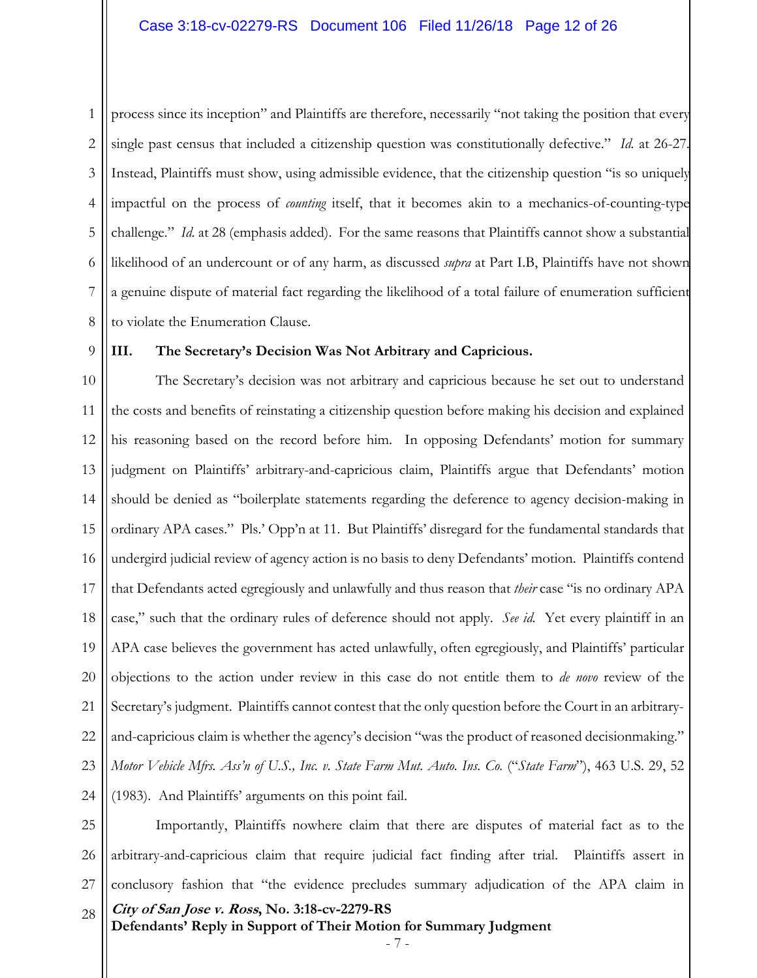1 2 3 4 5 6 7 8 process since its inception" and Plaintiffs are therefore, necessarily "not taking the position that every single past census that included a citizenship question was constitutionally defective." *Id.* at 26-27. Instead, Plaintiffs must show, using admissible evidence, that the citizenship question "is so uniquely impactful on the process of *counting* itself, that it becomes akin to a mechanics-of-counting-type challenge." *Id*. at 28 (emphasis added). For the same reasons that Plaintiffs cannot show a substantial likelihood of an undercount or of any harm, as discussed *supra* at Part I.B, Plaintiffs have not shown a genuine dispute of material fact regarding the likelihood of a total failure of enumeration sufficient to violate the Enumeration Clause.

9

#### **III. The Secretary's Decision Was Not Arbitrary and Capricious.**

10 11 12 13 14 15 16 17 18 19 20 21 22 23 24 The Secretary's decision was not arbitrary and capricious because he set out to understand the costs and benefits of reinstating a citizenship question before making his decision and explained his reasoning based on the record before him. In opposing Defendants' motion for summary judgment on Plaintiffs' arbitrary-and-capricious claim, Plaintiffs argue that Defendants' motion should be denied as "boilerplate statements regarding the deference to agency decision-making in ordinary APA cases." Pls.' Opp'n at 11. But Plaintiffs' disregard for the fundamental standards that undergird judicial review of agency action is no basis to deny Defendants' motion. Plaintiffs contend that Defendants acted egregiously and unlawfully and thus reason that *their* case "is no ordinary APA case," such that the ordinary rules of deference should not apply. *See id.* Yet every plaintiff in an APA case believes the government has acted unlawfully, often egregiously, and Plaintiffs' particular objections to the action under review in this case do not entitle them to *de novo* review of the Secretary's judgment. Plaintiffs cannot contest that the only question before the Court in an arbitraryand-capricious claim is whether the agency's decision "was the product of reasoned decisionmaking." *Motor Vehicle Mfrs. Ass'n of U.S., Inc. v. State Farm Mut. Auto. Ins. Co.* ("*State Farm*"), 463 U.S. 29, 52 (1983). And Plaintiffs' arguments on this point fail.

**City of San Jose v. Ross, No. 3:18-cv-2279-RS Defendants' Reply in Support of Their Motion for Summary Judgment**  25 26 27 28 Importantly, Plaintiffs nowhere claim that there are disputes of material fact as to the arbitrary-and-capricious claim that require judicial fact finding after trial. Plaintiffs assert in conclusory fashion that "the evidence precludes summary adjudication of the APA claim in

- 7 -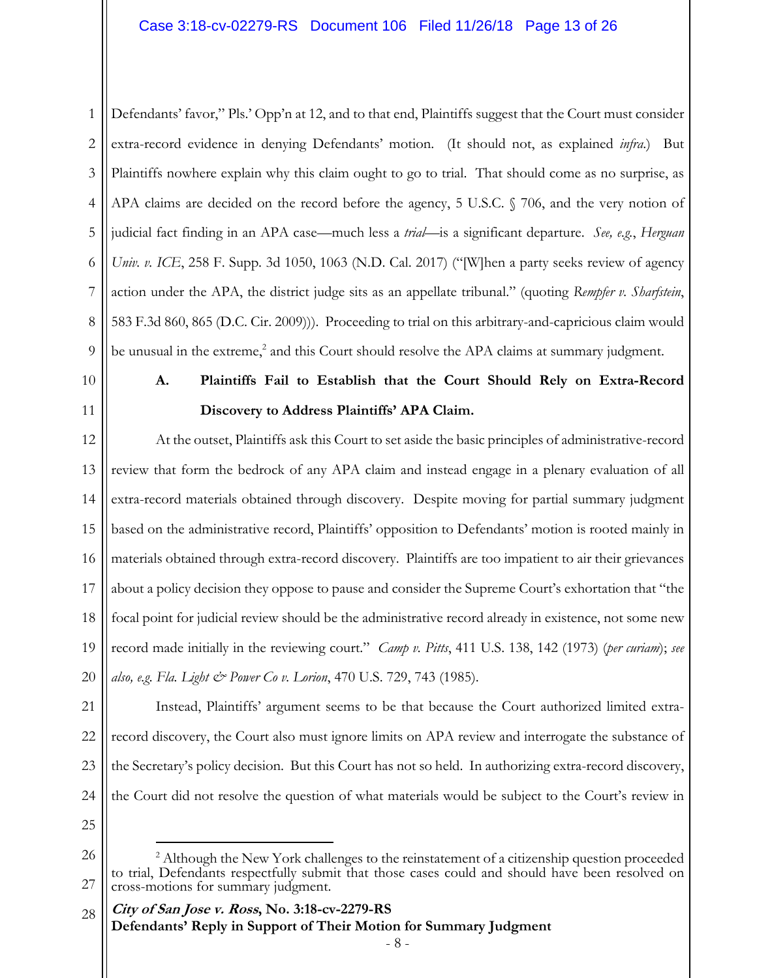#### Case 3:18-cv-02279-RS Document 106 Filed 11/26/18 Page 13 of 26

1 2 3 4 5 6 7 8 9 Defendants' favor," Pls.' Opp'n at 12, and to that end, Plaintiffs suggest that the Court must consider extra-record evidence in denying Defendants' motion. (It should not, as explained *infra*.) But Plaintiffs nowhere explain why this claim ought to go to trial. That should come as no surprise, as APA claims are decided on the record before the agency, 5 U.S.C. § 706, and the very notion of judicial fact finding in an APA case—much less a *trial*—is a significant departure. *See, e.g.*, *Herguan Univ. v. ICE*, 258 F. Supp. 3d 1050, 1063 (N.D. Cal. 2017) ("[W]hen a party seeks review of agency action under the APA, the district judge sits as an appellate tribunal." (quoting *Rempfer v. Sharfstein*, 583 F.3d 860, 865 (D.C. Cir. 2009))). Proceeding to trial on this arbitrary-and-capricious claim would be unusual in the extreme,<sup>2</sup> and this Court should resolve the APA claims at summary judgment.

- 10
- 11

## **A. Plaintiffs Fail to Establish that the Court Should Rely on Extra-Record Discovery to Address Plaintiffs' APA Claim.**

12 13 14 15 16 17 18 19 20 At the outset, Plaintiffs ask this Court to set aside the basic principles of administrative-record review that form the bedrock of any APA claim and instead engage in a plenary evaluation of all extra-record materials obtained through discovery. Despite moving for partial summary judgment based on the administrative record, Plaintiffs' opposition to Defendants' motion is rooted mainly in materials obtained through extra-record discovery. Plaintiffs are too impatient to air their grievances about a policy decision they oppose to pause and consider the Supreme Court's exhortation that "the focal point for judicial review should be the administrative record already in existence, not some new record made initially in the reviewing court." *Camp v. Pitts*, 411 U.S. 138, 142 (1973) (*per curiam*); *see also, e.g. Fla. Light & Power Co v. Lorion*, 470 U.S. 729, 743 (1985).

21 22 23 24 Instead, Plaintiffs' argument seems to be that because the Court authorized limited extrarecord discovery, the Court also must ignore limits on APA review and interrogate the substance of the Secretary's policy decision. But this Court has not so held. In authorizing extra-record discovery, the Court did not resolve the question of what materials would be subject to the Court's review in

25

-

<sup>26</sup> 27 <sup>2</sup> Although the New York challenges to the reinstatement of a citizenship question proceeded to trial, Defendants respectfully submit that those cases could and should have been resolved on cross-motions for summary judgment.

**City of San Jose v. Ross, No. 3:18-cv-2279-RS Defendants' Reply in Support of Their Motion for Summary Judgment**  28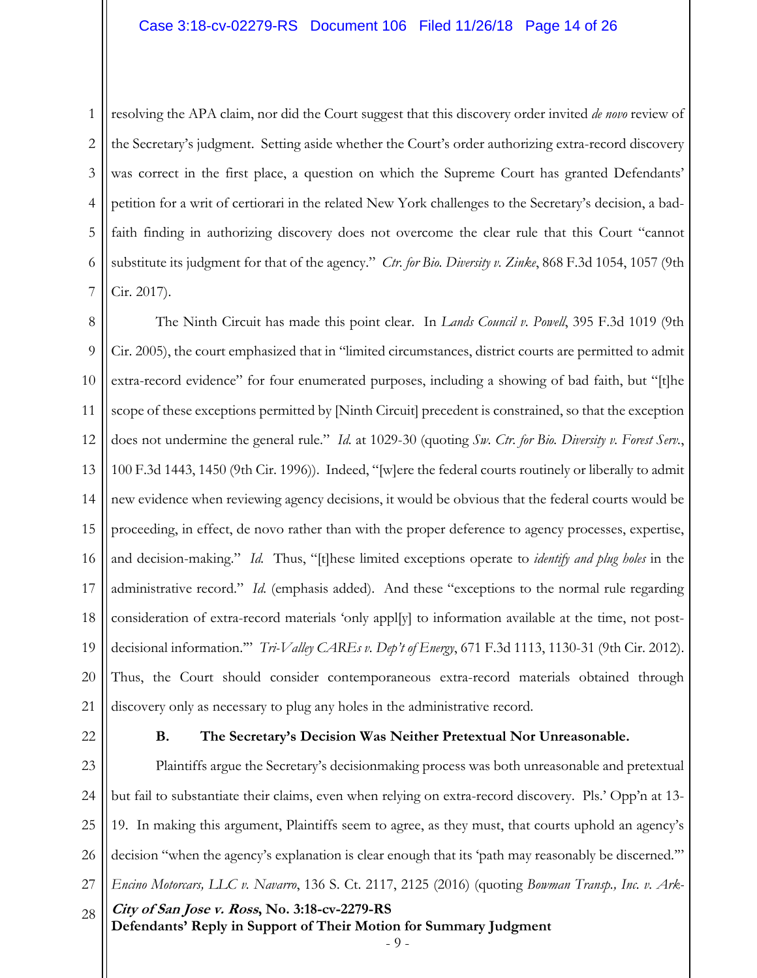#### Case 3:18-cv-02279-RS Document 106 Filed 11/26/18 Page 14 of 26

1 2 3 4 5 6 7 resolving the APA claim, nor did the Court suggest that this discovery order invited *de novo* review of the Secretary's judgment. Setting aside whether the Court's order authorizing extra-record discovery was correct in the first place, a question on which the Supreme Court has granted Defendants' petition for a writ of certiorari in the related New York challenges to the Secretary's decision, a badfaith finding in authorizing discovery does not overcome the clear rule that this Court "cannot substitute its judgment for that of the agency." *Ctr. for Bio. Diversity v. Zinke*, 868 F.3d 1054, 1057 (9th Cir. 2017).

8 9 10 11 12 13 14 15 16 17 18 19 20 21 The Ninth Circuit has made this point clear. In *Lands Council v. Powell*, 395 F.3d 1019 (9th Cir. 2005), the court emphasized that in "limited circumstances, district courts are permitted to admit extra-record evidence" for four enumerated purposes, including a showing of bad faith, but "[t]he scope of these exceptions permitted by [Ninth Circuit] precedent is constrained, so that the exception does not undermine the general rule." *Id.* at 1029-30 (quoting *Sw. Ctr. for Bio. Diversity v. Forest Serv.*, 100 F.3d 1443, 1450 (9th Cir. 1996)). Indeed, "[w]ere the federal courts routinely or liberally to admit new evidence when reviewing agency decisions, it would be obvious that the federal courts would be proceeding, in effect, de novo rather than with the proper deference to agency processes, expertise, and decision-making." *Id.* Thus, "[t]hese limited exceptions operate to *identify and plug holes* in the administrative record." *Id.* (emphasis added). And these "exceptions to the normal rule regarding consideration of extra-record materials 'only appl[y] to information available at the time, not postdecisional information.'" *Tri-Valley CAREs v. Dep't of Energy*, 671 F.3d 1113, 1130-31 (9th Cir. 2012). Thus, the Court should consider contemporaneous extra-record materials obtained through discovery only as necessary to plug any holes in the administrative record.

22

#### **B. The Secretary's Decision Was Neither Pretextual Nor Unreasonable.**

**City of San Jose v. Ross, No. 3:18-cv-2279-RS Defendants' Reply in Support of Their Motion for Summary Judgment**  23 24 25 26 27 28 Plaintiffs argue the Secretary's decisionmaking process was both unreasonable and pretextual but fail to substantiate their claims, even when relying on extra-record discovery. Pls.' Opp'n at 13- 19. In making this argument, Plaintiffs seem to agree, as they must, that courts uphold an agency's decision "when the agency's explanation is clear enough that its 'path may reasonably be discerned.'" *Encino Motorcars, LLC v. Navarro*, 136 S. Ct. 2117, 2125 (2016) (quoting *Bowman Transp., Inc. v. Ark-*

- 9 -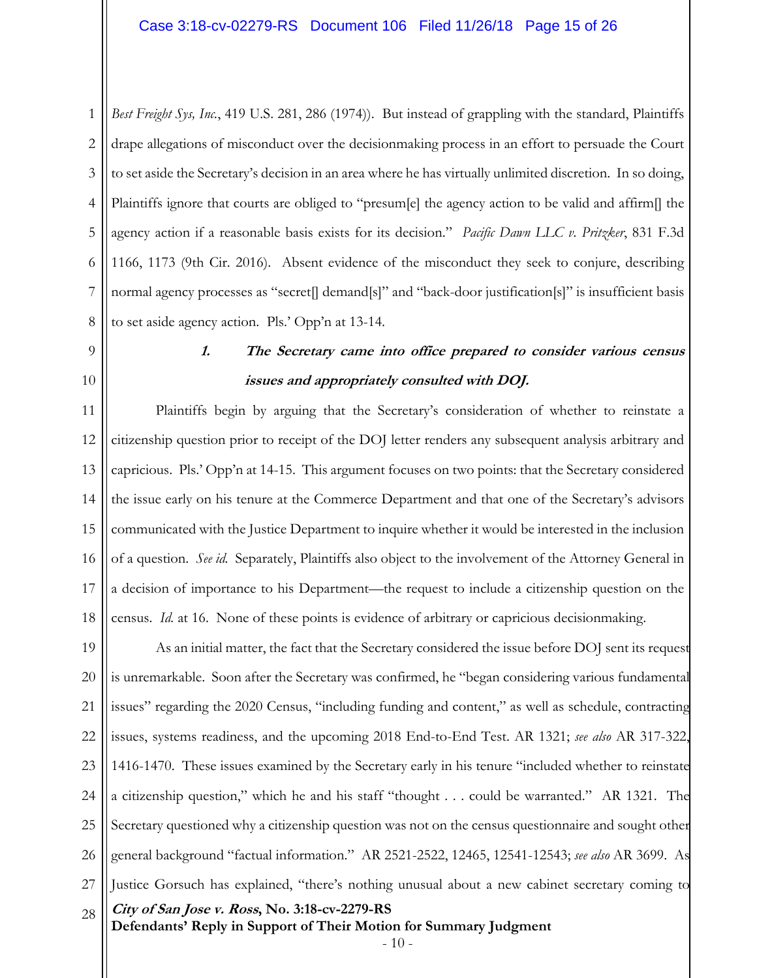1 2 3 4 5 6 7 8 *Best Freight Sys, Inc.*, 419 U.S. 281, 286 (1974)). But instead of grappling with the standard, Plaintiffs drape allegations of misconduct over the decisionmaking process in an effort to persuade the Court to set aside the Secretary's decision in an area where he has virtually unlimited discretion. In so doing, Plaintiffs ignore that courts are obliged to "presum[e] the agency action to be valid and affirm[] the agency action if a reasonable basis exists for its decision." *Pacific Dawn LLC v. Pritzker*, 831 F.3d 1166, 1173 (9th Cir. 2016). Absent evidence of the misconduct they seek to conjure, describing normal agency processes as "secret[] demand[s]" and "back-door justification[s]" is insufficient basis to set aside agency action. Pls.' Opp'n at 13-14.

- 9
- 10

# **1. The Secretary came into office prepared to consider various census issues and appropriately consulted with DOJ.**

11 12 13 14 15 16 17 18 Plaintiffs begin by arguing that the Secretary's consideration of whether to reinstate a citizenship question prior to receipt of the DOJ letter renders any subsequent analysis arbitrary and capricious. Pls.' Opp'n at 14-15. This argument focuses on two points: that the Secretary considered the issue early on his tenure at the Commerce Department and that one of the Secretary's advisors communicated with the Justice Department to inquire whether it would be interested in the inclusion of a question. *See id.* Separately, Plaintiffs also object to the involvement of the Attorney General in a decision of importance to his Department—the request to include a citizenship question on the census. *Id.* at 16. None of these points is evidence of arbitrary or capricious decisionmaking.

**City of San Jose v. Ross, No. 3:18-cv-2279-RS Defendants' Reply in Support of Their Motion for Summary Judgment**  19 20 21 22 23 24 25 26 27 28 As an initial matter, the fact that the Secretary considered the issue before DOJ sent its request is unremarkable. Soon after the Secretary was confirmed, he "began considering various fundamental issues" regarding the 2020 Census, "including funding and content," as well as schedule, contracting issues, systems readiness, and the upcoming 2018 End-to-End Test. AR 1321; *see also* AR 317-322, 1416-1470. These issues examined by the Secretary early in his tenure "included whether to reinstate a citizenship question," which he and his staff "thought . . . could be warranted." AR 1321. The Secretary questioned why a citizenship question was not on the census questionnaire and sought other general background "factual information." AR 2521-2522, 12465, 12541-12543; *see also* AR 3699. As Justice Gorsuch has explained, "there's nothing unusual about a new cabinet secretary coming to

- 10 -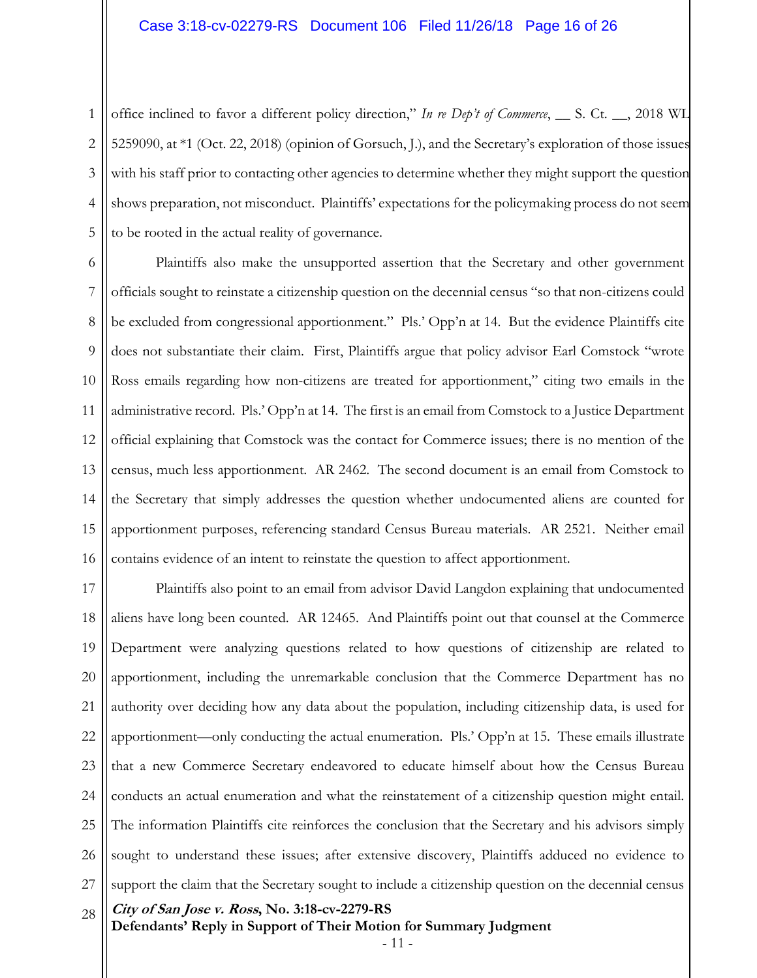1 2 3 4 5 office inclined to favor a different policy direction," *In re Dep't of Commerce*, \_\_ S. Ct. \_\_, 2018 WL 5259090, at \*1 (Oct. 22, 2018) (opinion of Gorsuch, J.), and the Secretary's exploration of those issues with his staff prior to contacting other agencies to determine whether they might support the question shows preparation, not misconduct. Plaintiffs' expectations for the policymaking process do not seem to be rooted in the actual reality of governance.

6 7 8 9 10 11 12 13 14 15 16 Plaintiffs also make the unsupported assertion that the Secretary and other government officials sought to reinstate a citizenship question on the decennial census "so that non-citizens could be excluded from congressional apportionment." Pls.' Opp'n at 14. But the evidence Plaintiffs cite does not substantiate their claim. First, Plaintiffs argue that policy advisor Earl Comstock "wrote Ross emails regarding how non-citizens are treated for apportionment," citing two emails in the administrative record. Pls.' Opp'n at 14. The first is an email from Comstock to a Justice Department official explaining that Comstock was the contact for Commerce issues; there is no mention of the census, much less apportionment. AR 2462. The second document is an email from Comstock to the Secretary that simply addresses the question whether undocumented aliens are counted for apportionment purposes, referencing standard Census Bureau materials. AR 2521. Neither email contains evidence of an intent to reinstate the question to affect apportionment.

**City of San Jose v. Ross, No. 3:18-cv-2279-RS Defendants' Reply in Support of Their Motion for Summary Judgment**  17 18 19 20 21 22 23 24 25 26 27 28 Plaintiffs also point to an email from advisor David Langdon explaining that undocumented aliens have long been counted. AR 12465. And Plaintiffs point out that counsel at the Commerce Department were analyzing questions related to how questions of citizenship are related to apportionment, including the unremarkable conclusion that the Commerce Department has no authority over deciding how any data about the population, including citizenship data, is used for apportionment—only conducting the actual enumeration. Pls.' Opp'n at 15. These emails illustrate that a new Commerce Secretary endeavored to educate himself about how the Census Bureau conducts an actual enumeration and what the reinstatement of a citizenship question might entail. The information Plaintiffs cite reinforces the conclusion that the Secretary and his advisors simply sought to understand these issues; after extensive discovery, Plaintiffs adduced no evidence to support the claim that the Secretary sought to include a citizenship question on the decennial census

- 11 -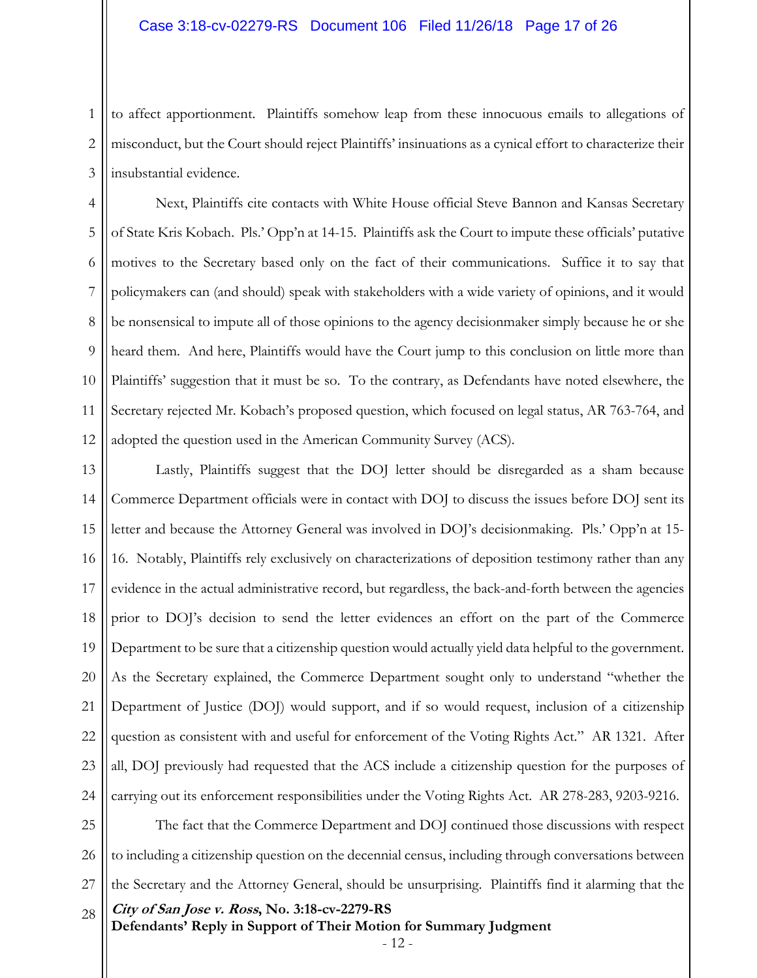#### Case 3:18-cv-02279-RS Document 106 Filed 11/26/18 Page 17 of 26

1 2 3 to affect apportionment. Plaintiffs somehow leap from these innocuous emails to allegations of misconduct, but the Court should reject Plaintiffs' insinuations as a cynical effort to characterize their insubstantial evidence.

4 5 6 7 8 9 10 11 12 Next, Plaintiffs cite contacts with White House official Steve Bannon and Kansas Secretary of State Kris Kobach. Pls.' Opp'n at 14-15. Plaintiffs ask the Court to impute these officials' putative motives to the Secretary based only on the fact of their communications. Suffice it to say that policymakers can (and should) speak with stakeholders with a wide variety of opinions, and it would be nonsensical to impute all of those opinions to the agency decisionmaker simply because he or she heard them. And here, Plaintiffs would have the Court jump to this conclusion on little more than Plaintiffs' suggestion that it must be so. To the contrary, as Defendants have noted elsewhere, the Secretary rejected Mr. Kobach's proposed question, which focused on legal status, AR 763-764, and adopted the question used in the American Community Survey (ACS).

13 14 15 16 17 18 19 20 21 22 23 24 Lastly, Plaintiffs suggest that the DOJ letter should be disregarded as a sham because Commerce Department officials were in contact with DOJ to discuss the issues before DOJ sent its letter and because the Attorney General was involved in DOJ's decisionmaking. Pls.' Opp'n at 15- 16. Notably, Plaintiffs rely exclusively on characterizations of deposition testimony rather than any evidence in the actual administrative record, but regardless, the back-and-forth between the agencies prior to DOJ's decision to send the letter evidences an effort on the part of the Commerce Department to be sure that a citizenship question would actually yield data helpful to the government. As the Secretary explained, the Commerce Department sought only to understand "whether the Department of Justice (DOJ) would support, and if so would request, inclusion of a citizenship question as consistent with and useful for enforcement of the Voting Rights Act." AR 1321. After all, DOJ previously had requested that the ACS include a citizenship question for the purposes of carrying out its enforcement responsibilities under the Voting Rights Act. AR 278-283, 9203-9216.

**City of San Jose v. Ross, No. 3:18-cv-2279-RS**  25 26 27 28 The fact that the Commerce Department and DOJ continued those discussions with respect to including a citizenship question on the decennial census, including through conversations between the Secretary and the Attorney General, should be unsurprising. Plaintiffs find it alarming that the

**Defendants' Reply in Support of Their Motion for Summary Judgment** 

- 12 -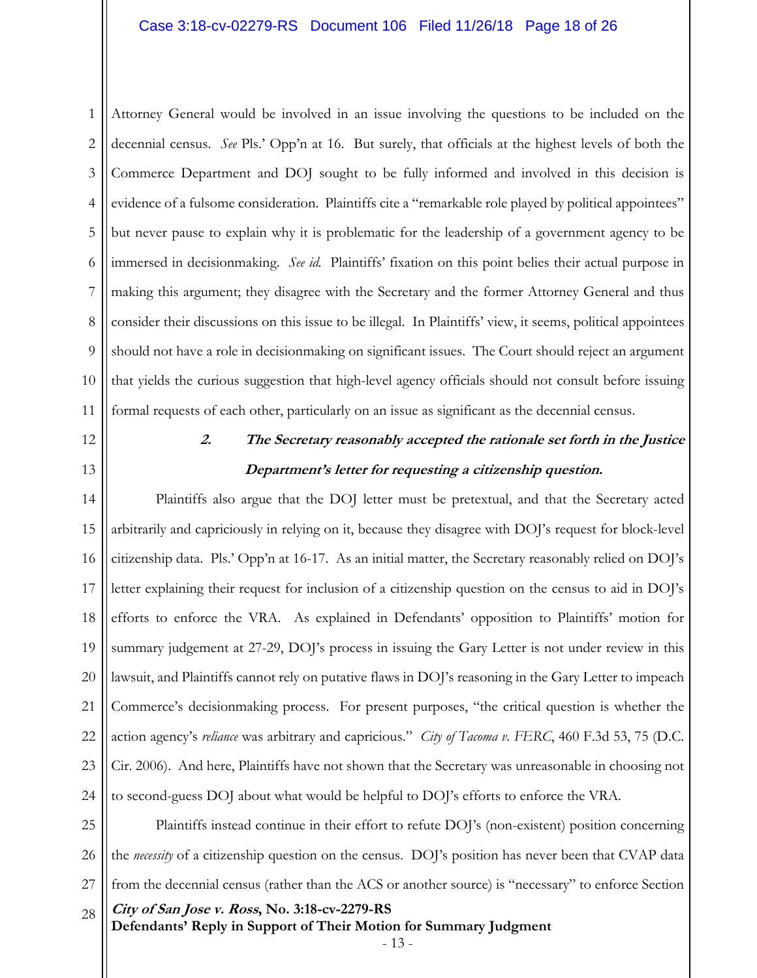1 2 3 4 5 6 7 8 9 10 11 Attorney General would be involved in an issue involving the questions to be included on the decennial census. *See* Pls.' Opp'n at 16. But surely, that officials at the highest levels of both the Commerce Department and DOJ sought to be fully informed and involved in this decision is evidence of a fulsome consideration. Plaintiffs cite a "remarkable role played by political appointees" but never pause to explain why it is problematic for the leadership of a government agency to be immersed in decisionmaking. *See id.* Plaintiffs' fixation on this point belies their actual purpose in making this argument; they disagree with the Secretary and the former Attorney General and thus consider their discussions on this issue to be illegal. In Plaintiffs' view, it seems, political appointees should not have a role in decisionmaking on significant issues. The Court should reject an argument that yields the curious suggestion that high-level agency officials should not consult before issuing formal requests of each other, particularly on an issue as significant as the decennial census.

12

13

### **2. The Secretary reasonably accepted the rationale set forth in the Justice Department's letter for requesting a citizenship question.**

14 15 16 17 18 19 20 21 22 23 24 Plaintiffs also argue that the DOJ letter must be pretextual, and that the Secretary acted arbitrarily and capriciously in relying on it, because they disagree with DOJ's request for block-level citizenship data. Pls.' Opp'n at 16-17. As an initial matter, the Secretary reasonably relied on DOJ's letter explaining their request for inclusion of a citizenship question on the census to aid in DOJ's efforts to enforce the VRA. As explained in Defendants' opposition to Plaintiffs' motion for summary judgement at 27-29, DOJ's process in issuing the Gary Letter is not under review in this lawsuit, and Plaintiffs cannot rely on putative flaws in DOJ's reasoning in the Gary Letter to impeach Commerce's decisionmaking process. For present purposes, "the critical question is whether the action agency's *reliance* was arbitrary and capricious." *City of Tacoma v. FERC*, 460 F.3d 53, 75 (D.C. Cir. 2006). And here, Plaintiffs have not shown that the Secretary was unreasonable in choosing not to second-guess DOJ about what would be helpful to DOJ's efforts to enforce the VRA.

**City of San Jose v. Ross, No. 3:18-cv-2279-RS Defendants' Reply in Support of Their Motion for Summary Judgment**  25 26 27 28 Plaintiffs instead continue in their effort to refute DOJ's (non-existent) position concerning the *necessity* of a citizenship question on the census. DOJ's position has never been that CVAP data from the decennial census (rather than the ACS or another source) is "necessary" to enforce Section

- 13 -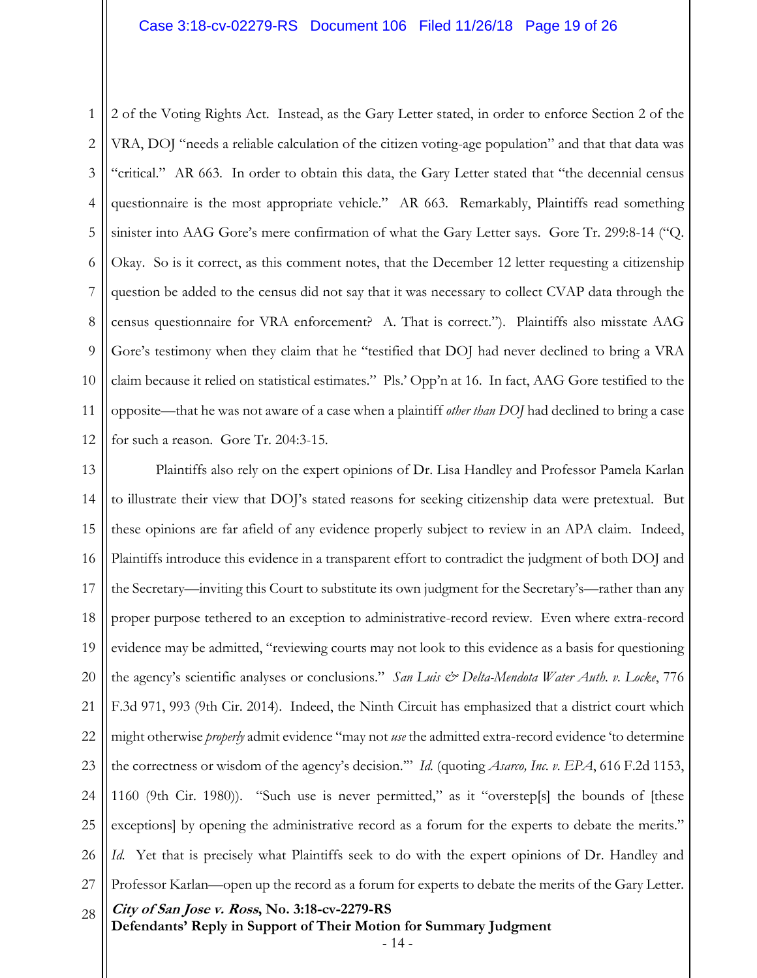1 2 3 4 5 6 7 8 9 10 11 12 2 of the Voting Rights Act. Instead, as the Gary Letter stated, in order to enforce Section 2 of the VRA, DOJ "needs a reliable calculation of the citizen voting-age population" and that that data was "critical." AR 663. In order to obtain this data, the Gary Letter stated that "the decennial census questionnaire is the most appropriate vehicle." AR 663. Remarkably, Plaintiffs read something sinister into AAG Gore's mere confirmation of what the Gary Letter says. Gore Tr. 299:8-14 ("Q. Okay. So is it correct, as this comment notes, that the December 12 letter requesting a citizenship question be added to the census did not say that it was necessary to collect CVAP data through the census questionnaire for VRA enforcement? A. That is correct."). Plaintiffs also misstate AAG Gore's testimony when they claim that he "testified that DOJ had never declined to bring a VRA claim because it relied on statistical estimates." Pls.' Opp'n at 16. In fact, AAG Gore testified to the opposite—that he was not aware of a case when a plaintiff *other than DOJ* had declined to bring a case for such a reason. Gore Tr. 204:3-15.

**City of San Jose v. Ross, No. 3:18-cv-2279-RS Defendants' Reply in Support of Their Motion for Summary Judgment**  13 14 15 16 17 18 19 20 21 22 23 24 25 26 27 28 Plaintiffs also rely on the expert opinions of Dr. Lisa Handley and Professor Pamela Karlan to illustrate their view that DOJ's stated reasons for seeking citizenship data were pretextual. But these opinions are far afield of any evidence properly subject to review in an APA claim. Indeed, Plaintiffs introduce this evidence in a transparent effort to contradict the judgment of both DOJ and the Secretary—inviting this Court to substitute its own judgment for the Secretary's—rather than any proper purpose tethered to an exception to administrative-record review. Even where extra-record evidence may be admitted, "reviewing courts may not look to this evidence as a basis for questioning the agency's scientific analyses or conclusions." *San Luis & Delta-Mendota Water Auth. v. Locke*, 776 F.3d 971, 993 (9th Cir. 2014). Indeed, the Ninth Circuit has emphasized that a district court which might otherwise *properly* admit evidence "may not *use* the admitted extra-record evidence 'to determine the correctness or wisdom of the agency's decision.'" *Id.* (quoting *Asarco, Inc. v. EPA*, 616 F.2d 1153, 1160 (9th Cir. 1980)). "Such use is never permitted," as it "overstep[s] the bounds of [these exceptions] by opening the administrative record as a forum for the experts to debate the merits." *Id.* Yet that is precisely what Plaintiffs seek to do with the expert opinions of Dr. Handley and Professor Karlan—open up the record as a forum for experts to debate the merits of the Gary Letter.

- 14 -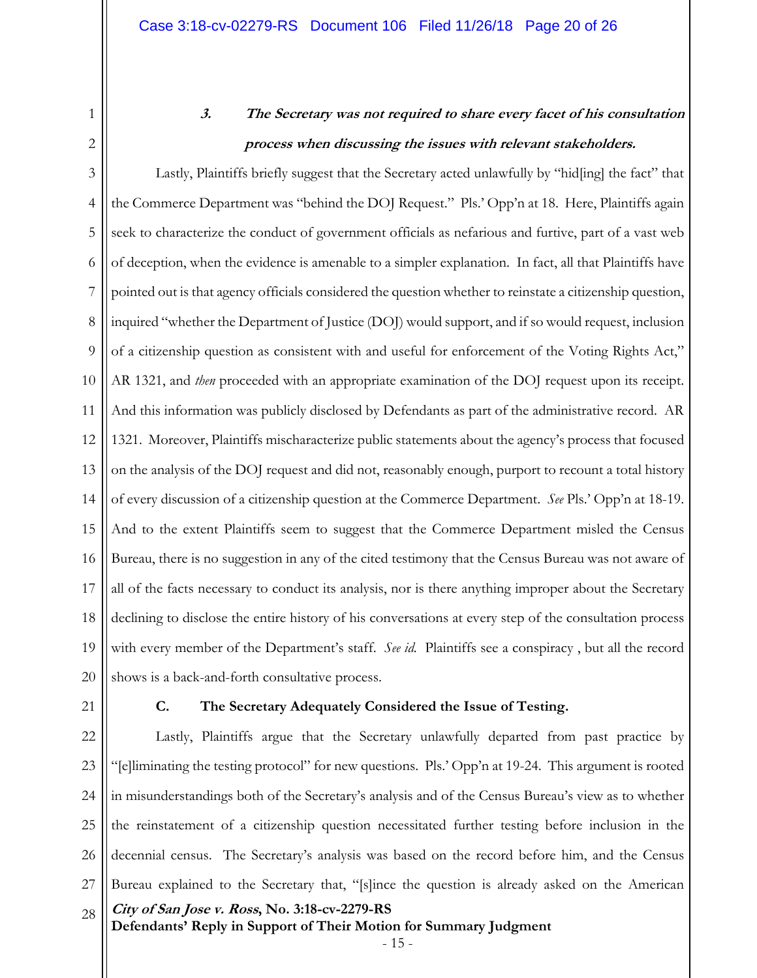1 2

# **3. The Secretary was not required to share every facet of his consultation process when discussing the issues with relevant stakeholders.**

3 4 5 6 7 8 9 10 11 12 13 14 15 16 17 18 19 20 Lastly, Plaintiffs briefly suggest that the Secretary acted unlawfully by "hid[ing] the fact" that the Commerce Department was "behind the DOJ Request." Pls.' Opp'n at 18. Here, Plaintiffs again seek to characterize the conduct of government officials as nefarious and furtive, part of a vast web of deception, when the evidence is amenable to a simpler explanation. In fact, all that Plaintiffs have pointed out is that agency officials considered the question whether to reinstate a citizenship question, inquired "whether the Department of Justice (DOJ) would support, and if so would request, inclusion of a citizenship question as consistent with and useful for enforcement of the Voting Rights Act," AR 1321, and *then* proceeded with an appropriate examination of the DOJ request upon its receipt. And this information was publicly disclosed by Defendants as part of the administrative record. AR 1321. Moreover, Plaintiffs mischaracterize public statements about the agency's process that focused on the analysis of the DOJ request and did not, reasonably enough, purport to recount a total history of every discussion of a citizenship question at the Commerce Department. *See* Pls.' Opp'n at 18-19. And to the extent Plaintiffs seem to suggest that the Commerce Department misled the Census Bureau, there is no suggestion in any of the cited testimony that the Census Bureau was not aware of all of the facts necessary to conduct its analysis, nor is there anything improper about the Secretary declining to disclose the entire history of his conversations at every step of the consultation process with every member of the Department's staff. *See id.* Plaintiffs see a conspiracy , but all the record shows is a back-and-forth consultative process.

21

#### **C. The Secretary Adequately Considered the Issue of Testing.**

**City of San Jose v. Ross, No. 3:18-cv-2279-RS Defendants' Reply in Support of Their Motion for Summary Judgment**  22 23 24 25 26 27 28 Lastly, Plaintiffs argue that the Secretary unlawfully departed from past practice by "[e]liminating the testing protocol" for new questions. Pls.' Opp'n at 19-24. This argument is rooted in misunderstandings both of the Secretary's analysis and of the Census Bureau's view as to whether the reinstatement of a citizenship question necessitated further testing before inclusion in the decennial census. The Secretary's analysis was based on the record before him, and the Census Bureau explained to the Secretary that, "[s]ince the question is already asked on the American

- 15 -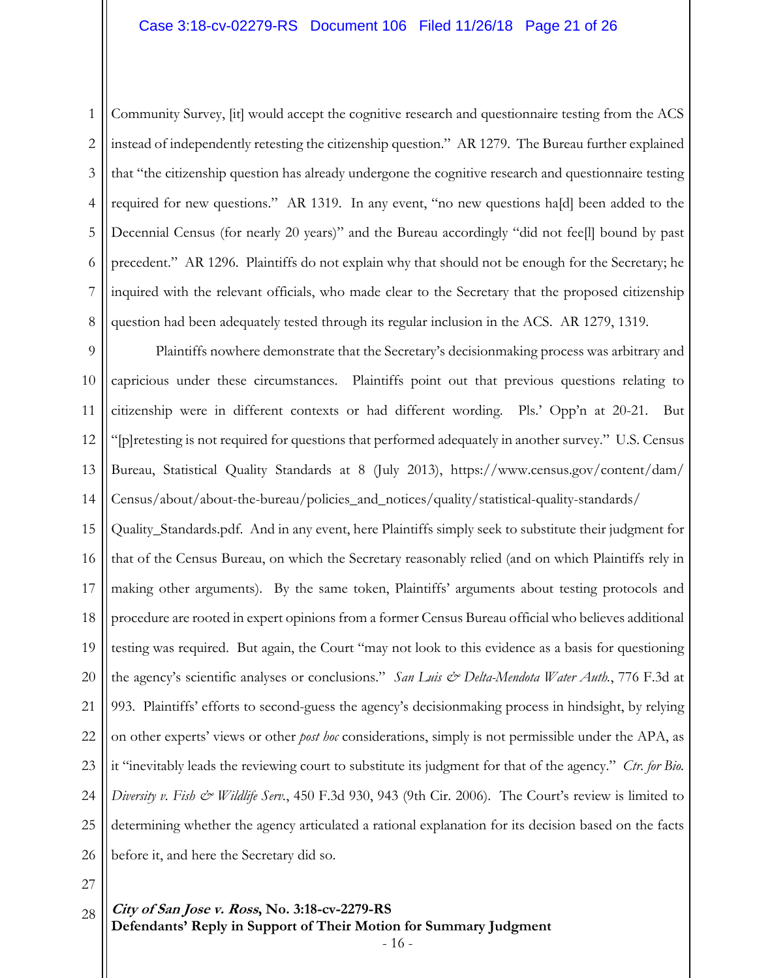#### Case 3:18-cv-02279-RS Document 106 Filed 11/26/18 Page 21 of 26

1 2 3 4 5 6 7 8 Community Survey, [it] would accept the cognitive research and questionnaire testing from the ACS instead of independently retesting the citizenship question." AR 1279. The Bureau further explained that "the citizenship question has already undergone the cognitive research and questionnaire testing required for new questions." AR 1319. In any event, "no new questions ha[d] been added to the Decennial Census (for nearly 20 years)" and the Bureau accordingly "did not fee[l] bound by past precedent." AR 1296. Plaintiffs do not explain why that should not be enough for the Secretary; he inquired with the relevant officials, who made clear to the Secretary that the proposed citizenship question had been adequately tested through its regular inclusion in the ACS. AR 1279, 1319.

9 10 11 12 13 14 Plaintiffs nowhere demonstrate that the Secretary's decisionmaking process was arbitrary and capricious under these circumstances. Plaintiffs point out that previous questions relating to citizenship were in different contexts or had different wording. Pls.' Opp'n at 20-21. But "[p]retesting is not required for questions that performed adequately in another survey." U.S. Census Bureau, Statistical Quality Standards at 8 (July 2013), https://www.census.gov/content/dam/ Census/about/about-the-bureau/policies\_and\_notices/quality/statistical-quality-standards/

15 16 17 18 19 20 21 22 23 24 25 26 Quality\_Standards.pdf. And in any event, here Plaintiffs simply seek to substitute their judgment for that of the Census Bureau, on which the Secretary reasonably relied (and on which Plaintiffs rely in making other arguments). By the same token, Plaintiffs' arguments about testing protocols and procedure are rooted in expert opinions from a former Census Bureau official who believes additional testing was required. But again, the Court "may not look to this evidence as a basis for questioning the agency's scientific analyses or conclusions." *San Luis & Delta-Mendota Water Auth.*, 776 F.3d at 993. Plaintiffs' efforts to second-guess the agency's decisionmaking process in hindsight, by relying on other experts' views or other *post hoc* considerations, simply is not permissible under the APA, as it "inevitably leads the reviewing court to substitute its judgment for that of the agency." *Ctr. for Bio. Diversity v. Fish & Wildlife Serv.*, 450 F.3d 930, 943 (9th Cir. 2006). The Court's review is limited to determining whether the agency articulated a rational explanation for its decision based on the facts before it, and here the Secretary did so.

27

#### **City of San Jose v. Ross, No. 3:18-cv-2279-RS Defendants' Reply in Support of Their Motion for Summary Judgment**  28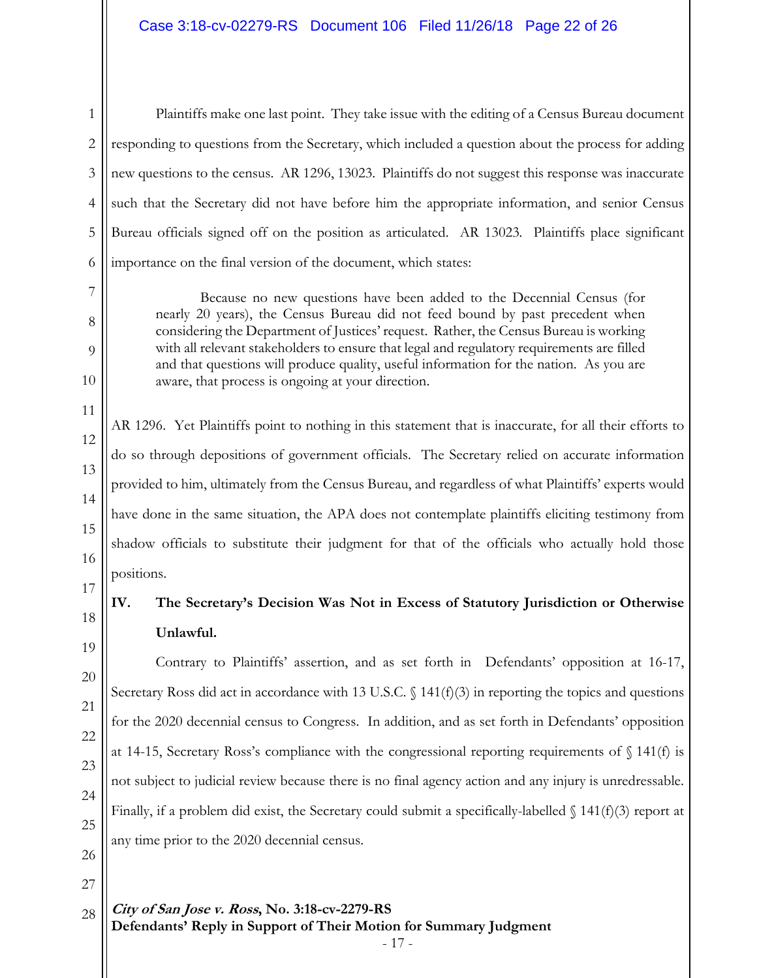### Case 3:18-cv-02279-RS Document 106 Filed 11/26/18 Page 22 of 26

26

27

1

2

Plaintiffs make one last point. They take issue with the editing of a Census Bureau document responding to questions from the Secretary, which included a question about the process for adding new questions to the census. AR 1296, 13023. Plaintiffs do not suggest this response was inaccurate such that the Secretary did not have before him the appropriate information, and senior Census Bureau officials signed off on the position as articulated. AR 13023*.* Plaintiffs place significant importance on the final version of the document, which states:

Because no new questions have been added to the Decennial Census (for nearly 20 years), the Census Bureau did not feed bound by past precedent when considering the Department of Justices' request. Rather, the Census Bureau is working with all relevant stakeholders to ensure that legal and regulatory requirements are filled and that questions will produce quality, useful information for the nation. As you are aware, that process is ongoing at your direction.

AR 1296. Yet Plaintiffs point to nothing in this statement that is inaccurate, for all their efforts to do so through depositions of government officials. The Secretary relied on accurate information provided to him, ultimately from the Census Bureau, and regardless of what Plaintiffs' experts would have done in the same situation, the APA does not contemplate plaintiffs eliciting testimony from shadow officials to substitute their judgment for that of the officials who actually hold those positions.

## **IV. The Secretary's Decision Was Not in Excess of Statutory Jurisdiction or Otherwise Unlawful.**

Contrary to Plaintiffs' assertion, and as set forth in Defendants' opposition at 16-17, Secretary Ross did act in accordance with 13 U.S.C. § 141(f)(3) in reporting the topics and questions for the 2020 decennial census to Congress. In addition, and as set forth in Defendants' opposition at 14-15, Secretary Ross's compliance with the congressional reporting requirements of  $\S$  141(f) is not subject to judicial review because there is no final agency action and any injury is unredressable. Finally, if a problem did exist, the Secretary could submit a specifically-labelled  $\{141(f)(3)$  report at any time prior to the 2020 decennial census.

**City of San Jose v. Ross, No. 3:18-cv-2279-RS Defendants' Reply in Support of Their Motion for Summary Judgment**  28

- 17 -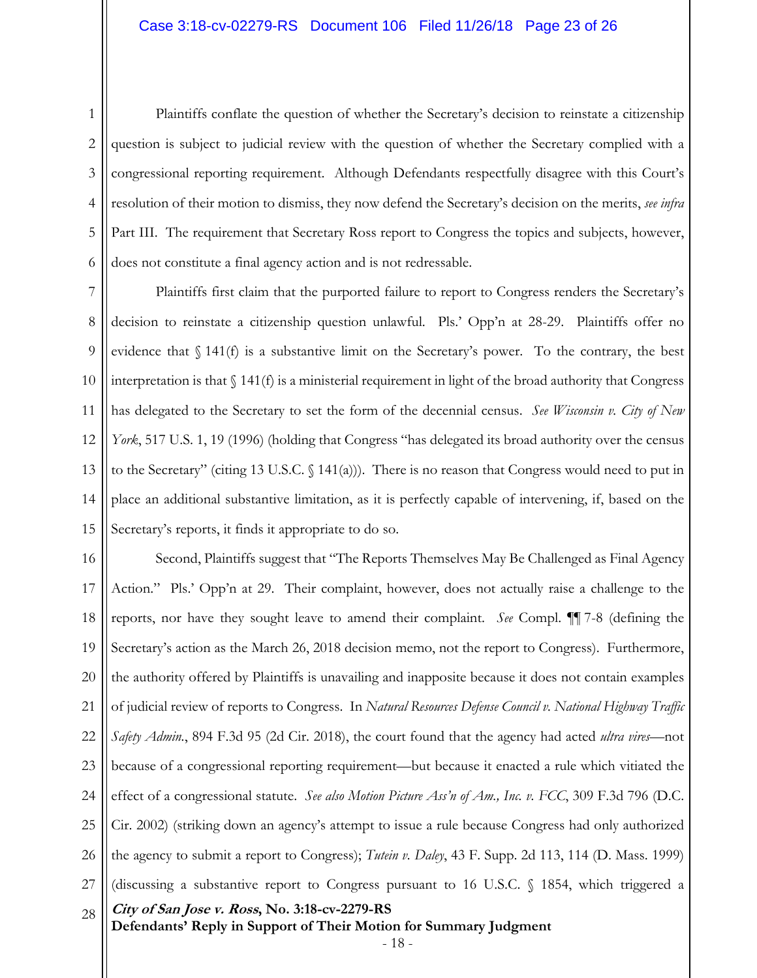1 2 3 4 5 6 Plaintiffs conflate the question of whether the Secretary's decision to reinstate a citizenship question is subject to judicial review with the question of whether the Secretary complied with a congressional reporting requirement. Although Defendants respectfully disagree with this Court's resolution of their motion to dismiss, they now defend the Secretary's decision on the merits, *see infra* Part III. The requirement that Secretary Ross report to Congress the topics and subjects, however, does not constitute a final agency action and is not redressable.

7 8 9 10 11 12 13 14 15 Plaintiffs first claim that the purported failure to report to Congress renders the Secretary's decision to reinstate a citizenship question unlawful. Pls.' Opp'n at 28-29. Plaintiffs offer no evidence that  $\S 141(f)$  is a substantive limit on the Secretary's power. To the contrary, the best interpretation is that  $\int$  141(f) is a ministerial requirement in light of the broad authority that Congress has delegated to the Secretary to set the form of the decennial census. *See Wisconsin v. City of New York*, 517 U.S. 1, 19 (1996) (holding that Congress "has delegated its broad authority over the census to the Secretary" (citing 13 U.S.C.  $\binom{141(a)}{n}$ . There is no reason that Congress would need to put in place an additional substantive limitation, as it is perfectly capable of intervening, if, based on the Secretary's reports, it finds it appropriate to do so.

**City of San Jose v. Ross, No. 3:18-cv-2279-RS Defendants' Reply in Support of Their Motion for Summary Judgment**  16 17 18 19 20 21 22 23 24 25 26 27 28 Second, Plaintiffs suggest that "The Reports Themselves May Be Challenged as Final Agency Action." Pls.' Opp'n at 29. Their complaint, however, does not actually raise a challenge to the reports, nor have they sought leave to amend their complaint. *See* Compl. ¶¶ 7-8 (defining the Secretary's action as the March 26, 2018 decision memo, not the report to Congress). Furthermore, the authority offered by Plaintiffs is unavailing and inapposite because it does not contain examples of judicial review of reports to Congress. In *Natural Resources Defense Council v. National Highway Traffic Safety Admin.*, 894 F.3d 95 (2d Cir. 2018), the court found that the agency had acted *ultra vires*—not because of a congressional reporting requirement—but because it enacted a rule which vitiated the effect of a congressional statute. *See also Motion Picture Ass'n of Am., Inc. v. FCC*, 309 F.3d 796 (D.C. Cir. 2002) (striking down an agency's attempt to issue a rule because Congress had only authorized the agency to submit a report to Congress); *Tutein v. Daley*, 43 F. Supp. 2d 113, 114 (D. Mass. 1999) (discussing a substantive report to Congress pursuant to 16 U.S.C. § 1854, which triggered a

- 18 -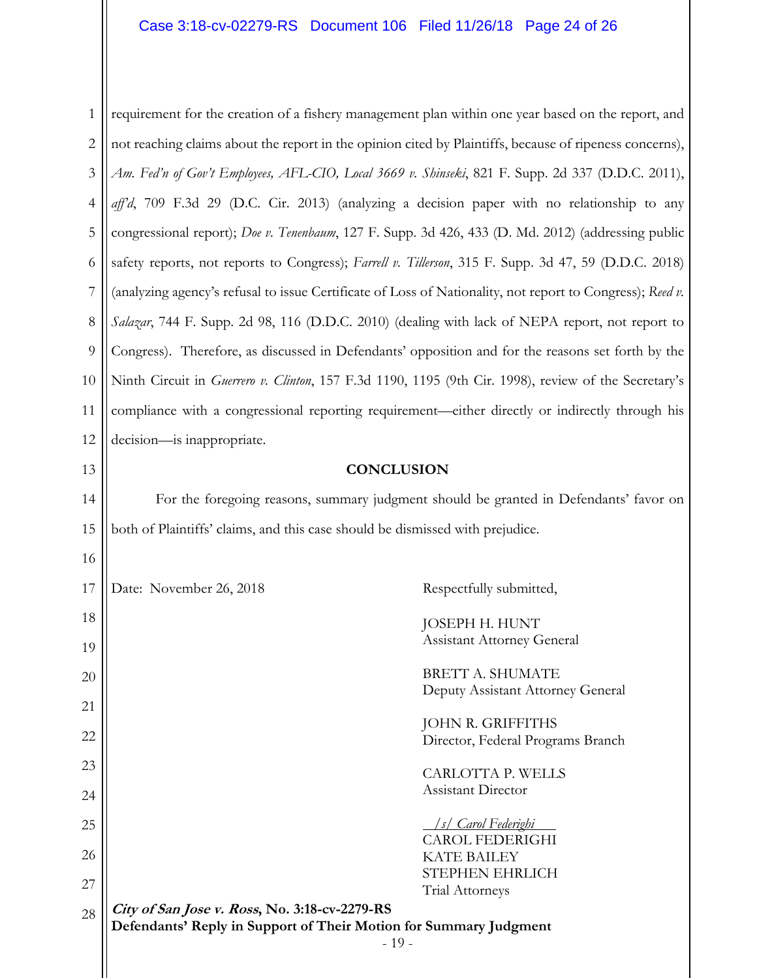### Case 3:18-cv-02279-RS Document 106 Filed 11/26/18 Page 24 of 26

1 2 3 4 5 6 7 8 9 10 11 12 13 14 15 16 17 18 19 20 21 22 23 24 requirement for the creation of a fishery management plan within one year based on the report, and not reaching claims about the report in the opinion cited by Plaintiffs, because of ripeness concerns), *Am. Fed'n of Gov't Employees, AFL-CIO, Local 3669 v. Shinseki*, 821 F. Supp. 2d 337 (D.D.C. 2011), *aff'd*, 709 F.3d 29 (D.C. Cir. 2013) (analyzing a decision paper with no relationship to any congressional report); *Doe v. Tenenbaum*, 127 F. Supp. 3d 426, 433 (D. Md. 2012) (addressing public safety reports, not reports to Congress); *Farrell v. Tillerson*, 315 F. Supp. 3d 47, 59 (D.D.C. 2018) (analyzing agency's refusal to issue Certificate of Loss of Nationality, not report to Congress); *Reed v. Salazar*, 744 F. Supp. 2d 98, 116 (D.D.C. 2010) (dealing with lack of NEPA report, not report to Congress). Therefore, as discussed in Defendants' opposition and for the reasons set forth by the Ninth Circuit in *Guerrero v. Clinton*, 157 F.3d 1190, 1195 (9th Cir. 1998), review of the Secretary's compliance with a congressional reporting requirement—either directly or indirectly through his decision—is inappropriate. **CONCLUSION**  For the foregoing reasons, summary judgment should be granted in Defendants' favor on both of Plaintiffs' claims, and this case should be dismissed with prejudice. Date: November 26, 2018 Respectfully submitted, JOSEPH H. HUNT Assistant Attorney General BRETT A. SHUMATE Deputy Assistant Attorney General JOHN R. GRIFFITHS Director, Federal Programs Branch CARLOTTA P. WELLS Assistant Director

> */s/ Carol Federighi*  CAROL FEDERIGHI

KATE BAILEY

**City of San Jose v. Ross, No. 3:18-cv-2279-RS Defendants' Reply in Support of Their Motion for Summary Judgment**  - 19 - 27 28 STEPHEN EHRLICH Trial Attorneys

25

26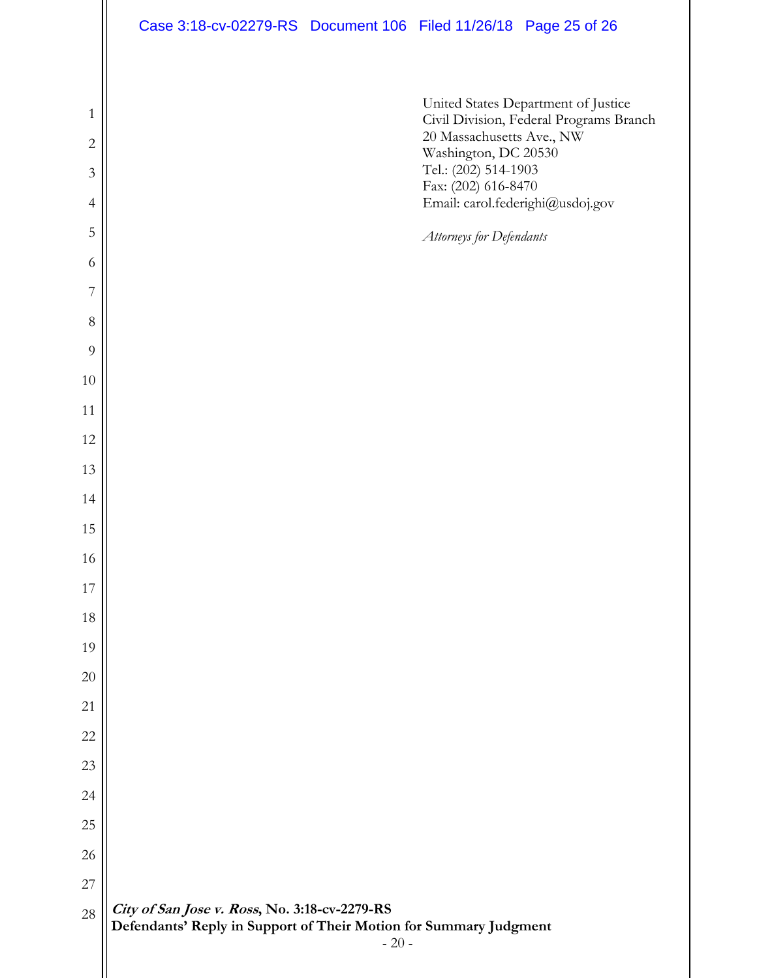**City of San Jose v. Ross, No. 3:18-cv-2279-RS Defendants' Reply in Support of Their Motion for Summary Judgment**  - 20 - United States Department of Justice Civil Division, Federal Programs Branch 20 Massachusetts Ave., NW Washington, DC 20530 Tel.: (202) 514-1903 Fax: (202) 616-8470 Email: carol.federighi@usdoj.gov *Attorneys for Defendants*